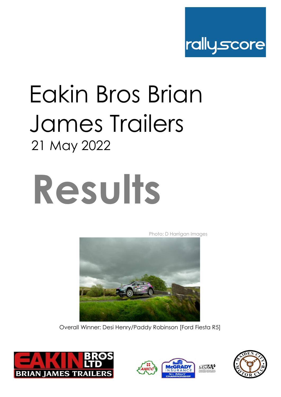

# Eakin Bros Brian James Trailers 21 May 2022



Photo: D Harrigan Images



Overall Winner: Desi Henry/Paddy Robinson [Ford Fiesta R5]





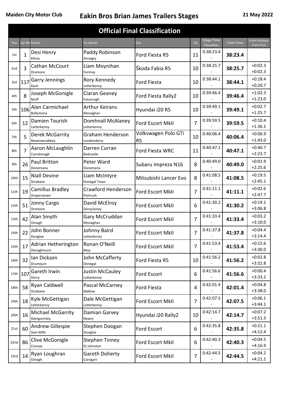| <b>Official Final Classification</b> |          |                                              |                                      |                                       |                |                                       |                   |                                           |
|--------------------------------------|----------|----------------------------------------------|--------------------------------------|---------------------------------------|----------------|---------------------------------------|-------------------|-------------------------------------------|
| Pos                                  |          | <b>Car Nc Driver</b>                         | Co-driver                            | Car                                   | <b>Cls</b>     | <b>Stage Time</b><br><b>Penalties</b> | <b>Total Time</b> | <b>From Previous</b><br><b>From First</b> |
| 1st                                  | 1        | Desi Henry<br>Kilrea                         | Paddy Robinson<br>Annagry            | Ford Fiesta R5                        | 11             | 0:38:23.4                             | 38:23.4           |                                           |
| 2 <sub>nd</sub>                      | 3        | Cathan McCourt<br>Dromore                    | Liam Moynihan<br>Fermoy              | Škoda Fabia R5                        | 10             | 0:38:25.7                             | 38:25.7           | $+0:02.3$<br>$+0:02.3$                    |
| 3rd                                  | 117      | <b>Garry Jennings</b><br>Kesh                | Rory Kennedy<br>Letterkenny          | <b>Ford Fiesta</b>                    | 10             | 0:38:44.1                             | 38:44.1           | $+0:18.4$<br>$+0:20.7$                    |
| 4th                                  | 8        | Joseph McGonigle<br>Muff                     | Ciaran Geaney<br>Falcarragh          | Ford Fiesta Rally2                    | 10             | 0:39:46.4                             | 39:46.4           | $+1:02.3$<br>$+1:23.0$                    |
| 5th                                  | 106      | Alan Carmichael<br>Ballymena                 | <b>Arthur Keirans</b><br>Monaghan    | Hyundai i20 R5                        | 10             | 0:39:49.1                             | 39:49.1           | $+0:02.7$<br>$+1:25.7$                    |
| 6th                                  | 12       | Damien Tourish<br>Letterkenny                | Domhnall McAlaney<br>Letterkenny     | <b>Ford Escort MkII</b>               | $\overline{7}$ | 0:39:59.5                             | 39:59.5           | $+0:10.4$<br>$+1:36.1$                    |
| 7th                                  | 5        | Derek McGarrity<br>Newtownabbey              | Graham Henderson<br>Londonderry      | Volkswagen Polo GTi<br>R <sub>5</sub> | 10             | 0:40:06.4                             | 40:06.4           | $+0:06.9$<br>$+1:43.0$                    |
| 8th                                  | 7        | Aaron McLaughlin<br>Carndonagh               | Darren Curran<br>Redcastle           | Ford Fiesta WRC                       | 11             | 0:40:47.1                             | 40:47.1           | $+0:40.7$<br>$+2:23.7$                    |
| 9th                                  | 26       | Paul Britton<br>Donemana                     | Peter Ward<br>Donemana               | Subaru Impreza N16                    | 8              | 0:40:49.0                             | 40:49.0           | $+0:01.9$<br>$+2:25.6$                    |
| 10th                                 | 15       | <b>Niall Devine</b><br>Strabane              | Liam McIntyre<br>Donegal Town        | Mitsubishi Lancer Evo                 | 8              | 0:41:08.5                             | 41:08.5           | $+0:19.5$<br>$+2:45.1$                    |
| 11th                                 | 19       | Camillus Bradley<br>Draperstown              | Crawford Henderson<br>Portrush       | Ford Escort MkII                      | 7              | 0:41:11.1                             | 41:11.1           | $+0:02.6$<br>$+2:47.7$                    |
| 12th                                 | 51       | Jonny Cargo<br>Dromore                       | David McElroy<br>Donacloney          | Ford Escort MkII                      | 6              | 0:41:30.2                             | 41:30.2           | $+0:19.1$<br>$+3:06.8$                    |
| 13th                                 | 42       | Alan Smyth<br>Omagh                          | Gary McCruddan<br>Monaghan           | <b>Ford Escort MkII</b>               | $\overline{7}$ | 0:41:33.4                             | 41:33.4           | $+0:03.2$<br>$+3:10.0$                    |
| 14th                                 | 22       | John Bonner<br>Dungloe                       | Johnny Baird<br>Letterkenny          | <b>Ford Escort MkII</b>               | $\overline{7}$ | 0:41:37.8                             | 41:37.8           | $+0:04.4$<br>$+3:14.4$                    |
| 15th                                 | 17       | Adrian Hetherington<br>Donaghmore            | Ronan O'Neill<br>Moy                 | Ford Escort MkII                      | 7              | 0:41:53.4                             | 41:53.4           | $+0:15.6$<br>$+3:30.0$                    |
| 16th                                 | 32       | lan Dickson<br>Drumquin                      | John McCafferty<br>Donegal           | Ford Fiesta R5                        | 10             | 0:41:56.2                             | 41:56.2           | $+0:02.8$<br>$+3:32.8$                    |
|                                      | 17th 107 | Gareth Irwin<br>Derry                        | Justin McCauley<br>Letterkenny       | Ford Escort                           | 6              | 0:41:56.6                             | 41:56.6           | $+0:00.4$<br>$+3:33.2$                    |
| 18th                                 | 58       | Ryan Caldwell<br>Strabane                    | Pascal McCarney<br>Mallow            | <b>Ford Fiesta</b>                    | 4              | 0:42:01.4                             | 42:01.4           | $+0:04.8$<br>$+3:38.0$                    |
| 19th                                 | 18       | Kyle McGettigan<br>Letterkenny               | Dale McGettigan<br>Letterkenny       | Ford Escort MkII                      | 7              | 0:42:07.5                             | 42:07.5           | $+0:06.1$<br>$+3:44.1$                    |
| 20th                                 | 16       | <b>Michael McGarrity</b><br>Glengormley      | Damian Garvey<br>Newry               | Hyundai i20 Rally2                    | 10             | 0:42:14.7                             | 42:14.7           | $+0:07.2$<br>$+3:51.3$                    |
| 21st                                 | 60       | <b>Andrew Gillespie</b><br><b>Sion Mills</b> | Stephen Doogan<br>Dungloe            | Ford Escort                           | 6              | 0:42:35.8                             | 42:35.8           | $+0:21.1$<br>$+4:12.4$                    |
| 22nd                                 | 86       | Clive McGonigle<br>Convoy                    | <b>Stephen Tinney</b><br>St Johnston | Ford Escort MkII                      | 6              | 0:42:40.3                             | 42:40.3           | $+0:04.5$<br>$+4:16.9$                    |
| 23rd                                 | 14       | Ryan Loughran<br>Omagh                       | Gareth Doherty<br>Carrigart          | Ford Escort MkII                      | $\overline{7}$ | 0:42:44.5                             | 42:44.5           | $+0:04.2$<br>$+4:21.1$                    |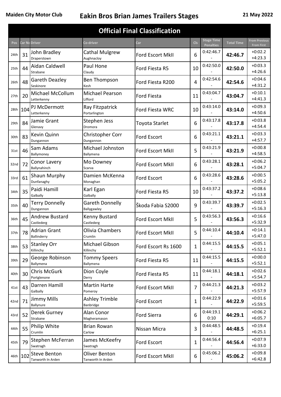| <b>Official Final Classification</b> |          |                                          |                                     |                         |              |                                       |                   |                                           |
|--------------------------------------|----------|------------------------------------------|-------------------------------------|-------------------------|--------------|---------------------------------------|-------------------|-------------------------------------------|
| Pos                                  |          | <b>Car Nc Driver</b>                     | Co-driver                           | <b>Car</b>              | <b>Cls</b>   | <b>Stage Time</b><br><b>Penalties</b> | <b>Total Time</b> | <b>From Previous</b><br><b>From First</b> |
| 24th                                 | 31       | John Bradley<br>Draperstown              | <b>Cathal Mulgrew</b><br>Aughnacloy | Ford Escort MkII        | 6            | 0:42:46.7                             | 42:46.7           | $+0:02.2$<br>$+4:23.3$                    |
| 25th                                 | 44       | Aidan Caldwell                           | Paul Hone                           | Ford Fiesta R5          | 10           | 0:42:50.0                             | 42:50.0           | $+0:03.3$                                 |
| 26th                                 | 48       | Strabane<br>Gareth Deazley               | Claudy<br><b>Ben Thompson</b>       | Ford Fiesta R200        | 4            | 0:42:54.6                             | 42:54.6           | $+4:26.6$<br>$+0:04.6$                    |
|                                      |          | Seskinore<br>Michael McCollum            | Kesh<br><b>Michael Pearson</b>      |                         |              | 0:43:04.7                             |                   | $+4:31.2$<br>$+0:10.1$                    |
| 27th                                 | 20       | Letterkenny                              | Lifford                             | <b>Ford Fiesta</b>      | 11           |                                       | 43:04.7           | $+4:41.3$                                 |
| 28th                                 | 104      | PJ McDermott<br>Letterkenny              | Ray Fitzpatrick<br>Portarlington    | Ford Fiesta WRC         | 10           | 0:43:14.0                             | 43:14.0           | $+0:09.3$<br>$+4:50.6$                    |
| 29th                                 | 84       | Jamie Grant<br>Glenavy                   | Stephen Jess<br>Dromora             | Toyota Starlet          | 6            | 0:43:17.8                             | 43:17.8           | $+0:03.8$<br>$+4:54.4$                    |
| 30th                                 | 83       | Kevin Quinn<br>Dungannon                 | Christopher Corr<br>Dungannon       | Ford Escort             | 6            | 0:43:21.1                             | 43:21.1           | $+0:03.3$<br>$+4:57.7$                    |
| 31st                                 | 46       | Sam Adams<br>Ballymoney                  | Michael Johnston<br>Ballymena       | Ford Escort MkII        | 5            | 0:43:21.9                             | 43:21.9           | $+0:00.8$<br>$+4:58.5$                    |
| 32nd                                 | 72       | Conor Lavery<br>Ballynahinch             | Mo Downey<br>Scarva                 | Ford Escort MkII        | 6            | 0:43:28.1                             | 43:28.1           | $+0:06.2$<br>$+5:04.7$                    |
| 33rd                                 | 61       | Shaun Murphy<br>Dunfanaghy               | Damien McKenna<br>Monaghan          | Ford Escort             | 6            | 0:43:28.6                             | 43:28.6           | $+0:00.5$<br>$+5:05.2$                    |
| 34th                                 | 35       | Paidi Hamill<br>Galbally                 | Karl Egan<br>Galbally               | Ford Fiesta R5          | 10           | 0:43:37.2                             | 43:37.2           | $+0:08.6$<br>$+5:13.8$                    |
| 35th                                 | 40       | <b>Terry Donnelly</b><br>Dungannon       | Gareth Donnelly<br>Ballygawley      | Škoda Fabia S2000       | 9            | 0:43:39.7                             | 43:39.7           | $+0:02.5$<br>$+5:16.3$                    |
| 36th                                 | 45       | <b>Andrew Bustard</b><br>Castlederg      | Kenny Bustard<br>Castlederg         | <b>Ford Escort MkII</b> | 5            | 0:43:56.3                             | 43:56.3           | $+0:16.6$<br>$+5:32.9$                    |
| 37th                                 | 78       | <b>Adrian Grant</b><br>Ballinderry       | Olivia Chambers<br>Crumlin          | Ford Escort MkII        | 5            | 0:44:10.4                             | 44:10.4           | $+0:14.1$<br>$+5:47.0$                    |
| 38th                                 | 53       | <b>Stanley Orr</b><br>Killinchy          | Michael Gibson<br>Killinchy         | Ford Escort Rs 1600     | $\mathbf{1}$ | 0:44:15.5                             | 44:15.5           | $+0:05.1$<br>$+5:52.1$                    |
| 39th                                 | 29       | George Robinson<br>Ballymena             | <b>Tommy Speers</b><br>Ballymena    | Ford Fiesta R5          | 11           | 0:44:15.5                             | 44:15.5           | $+0:00.0$<br>$+5:52.1$                    |
| 40th                                 | 30       | <b>Chris McGurk</b><br>Portglenone       | Dion Coyle<br>Derry                 | Ford Fiesta R5          | 11           | 0:44:18.1                             | 44:18.1           | $+0:02.6$<br>$+5:54.7$                    |
| 41st                                 | 43       | Darren Hamill<br>Galbally                | <b>Martin Harte</b><br>Pomeroy      | Ford Escort MkII        | 7            | 0:44:21.3                             | 44:21.3           | $+0:03.2$<br>$+5:57.9$                    |
| 42nd                                 | 71       | <b>Jimmy Mills</b><br>Ballynure          | <b>Ashley Trimble</b><br>Banbridge  | Ford Escort             | $\mathbf{1}$ | 0:44:22.9                             | 44:22.9           | $+0:01.6$<br>$+5:59.5$                    |
| 43rd                                 | 52       | Derek Gurney<br>Strabane                 | Alan Conor<br>Magheramason          | <b>Ford Sierra</b>      | 6            | 0:44:19.1<br>0:10                     | 44:29.1           | $+0:06.2$<br>$+6:05.7$                    |
| 44th                                 | 55       | Philip White<br>Crumlin                  | <b>Brian Rowan</b><br>Carlow        | Nissan Micra            | 3            | 0:44:48.5                             | 44:48.5           | $+0:19.4$<br>$+6:25.1$                    |
| 45th                                 | 79       | Stephen McFerran<br>Swatragh             | James McKeefry<br>Swatragh          | Ford Escort             | $\mathbf{1}$ | 0:44:56.4                             | 44:56.4           | $+0:07.9$<br>$+6:33.0$                    |
|                                      | 46th 102 | <b>Steve Benton</b><br>Tanworth In Arden | Oliver Benton<br>Tanworth In Arden  | Ford Escort MkII        | 6            | 0:45:06.2                             | 45:06.2           | $+0:09.8$<br>$+6:42.8$                    |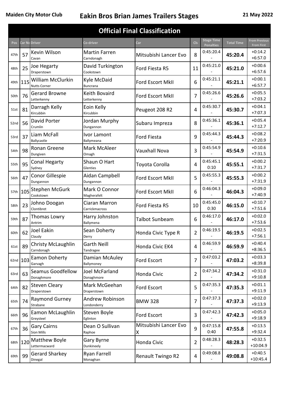|      | <b>Official Final Classification</b> |                                                 |                                 |                            |                |                                       |                   |                                           |
|------|--------------------------------------|-------------------------------------------------|---------------------------------|----------------------------|----------------|---------------------------------------|-------------------|-------------------------------------------|
| Pos  |                                      | Car Nc Driver                                   | Co-driver                       | <b>Car</b>                 | <b>Cls</b>     | <b>Stage Time</b><br><b>Penalties</b> | <b>Total Time</b> | <b>From Previous</b><br><b>From First</b> |
| 47th | 57                                   | Kevin Wilson<br>Cavan                           | Martin Farren<br>Carndonagh     | Mitsubishi Lancer Evo      | 8              | 0:45:20.4                             | 45:20.4           | $+0:14.2$<br>$+6:57.0$                    |
| 48th | 25                                   | Joe Hegarty<br>Draperstown                      | David Turkington<br>Cookstown   | Ford Fiesta R5             | 11             | 0:45:21.0                             | 45:21.0           | $+0:00.6$<br>$+6:57.6$                    |
| 49th | 1115                                 | <b>William McClurkin</b><br><b>Nutts Corner</b> | Kyle McDaid<br><b>Buncrana</b>  | Ford Escort MkII           | 6              | 0:45:21.1                             | 45:21.1           | $+0:00.1$<br>$+6:57.7$                    |
| 50th | 76                                   | <b>Gerard Browne</b><br>Letterkenny             | Keith Bovaird<br>Letterkenny    | Ford Escort MkII           | 7              | 0:45:26.6                             | 45:26.6           | $+0:05.5$<br>$+7:03.2$                    |
| 51st | 81                                   | Darragh Kelly<br>Kircubbin                      | Eoin Kelly<br>Kircubbin         | Peugeot 208 R2             | 4              | 0:45:30.7                             | 45:30.7           | $+0:04.1$<br>$+7:07.3$                    |
| 52nd | 56                                   | David Porter<br>Crumlin                         | Jordan Murphy<br>Dungannon      | Subaru Impreza             | 8              | 0:45:36.1                             | 45:36.1           | $+0:05.4$<br>$+7:12.7$                    |
| 53rd | 37                                   | Liam McFall<br>Ballycastle                      | Ivor Lamont<br>Ballymeana       | Ford Fiesta                | 9              | 0:45:44.3                             | 45:44.3           | $+0:08.2$<br>$+7:20.9$                    |
| 54th | 98                                   | Ronan Greene<br>Dungiven                        | Mark McAleer<br>Omagh           | Vauxhall Nova              | 3              | 0:45:54.9                             | 45:54.9           | $+0:10.6$<br>$+7:31.5$                    |
| 55th | 95                                   | <b>Conal Hegarty</b><br>Sydney                  | Shaun O Hart<br>Glenties        | Toyota Corolla             | 4              | 0:45:45.1<br>0:10                     | 45:55.1           | $+0:00.2$<br>$+7:31.7$                    |
| 56th | 47                                   | Conor Gillespie<br>Dungannon                    | Aidan Campbell<br>Dungannon     | Ford Escort MkII           | 5              | 0:45:55.3                             | 45:55.3           | $+0:00.2$<br>$+7:31.9$                    |
|      | 57th 105                             | <b>Stephen McGurk</b><br>Cookstown              | Mark O Connor<br>Magherafelt    | Ford Escort MkII           | 6              | 0:46:04.3                             | 46:04.3           | $+0:09.0$<br>$+7:40.9$                    |
| 58th | 23                                   | Johno Doogan<br>Clontibret                      | Ciaran Marron<br>Carrickmacross | Ford Fiesta R5             | 10             | 0:45:45.0<br>0:30                     | 46:15.0           | $+0:10.7$<br>$+7:51.6$                    |
| 59th | 87                                   | Thomas Lowry<br>Antrim                          | Harry Johnston<br>Ballymena     | Talbot Sunbeam             | 6              | 0:46:17.0                             | 46:17.0           | $+0:02.0$<br>$+7:53.6$                    |
| 60th | 62                                   | Joel Eakin<br>Claudy                            | Sean Doherty<br>Derry           | Honda Civic Type R         | $\overline{2}$ | 0:46:19.5                             | 46:19.5           | $+0:02.5$<br>$+7:56.1$                    |
| 61st | 89                                   | <b>Christy McLaughlin</b><br>Carndonagh         | <b>Garth Neill</b><br>Tandragee | Honda Civic EK4            | 4              | 0:46:59.9                             | 46:59.9           | $+0:40.4$<br>$+8:36.5$                    |
|      | 62nd 103                             | Eamon Doherty<br>Garvagh                        | Damian McAuley<br>Ballymoney    | Ford Escort                | 7              | 0:47:03.2                             | 47:03.2           | $+0:03.3$<br>$+8:39.8$                    |
| 63rd | 63                                   | Seamus Goodfellow<br>Donaghmore                 | Joel McFarland<br>Donaghmore    | Honda Civic                | $\overline{2}$ | 0:47:34.2                             | 47:34.2           | $+0:31.0$<br>$+9:10.8$                    |
| 64th | 82                                   | <b>Steven Cleary</b><br>Draperstown             | Mark McGeehan<br>Draperstown    | Ford Escort                | 5              | 0:47:35.3                             | 47:35.3           | $+0:01.1$<br>$+9:11.9$                    |
| 65th | 74                                   | <b>Raymond Gurney</b><br>Strabane               | Andrew Robinson<br>Londonderry  | <b>BMW 328</b>             | $\overline{7}$ | 0:47:37.3                             | 47:37.3           | $+0.02.0$<br>$+9:13.9$                    |
| 66th | 96                                   | Eamon McLaughlin<br>Greysteel                   | Steven Boyle<br>Eglinton        | Ford Escort                | 3              | 0:47:42.3                             | 47:42.3           | $+0:05.0$<br>$+9:18.9$                    |
| 67th | 36                                   | <b>Gary Cairns</b><br><b>Sion Mills</b>         | Dean O Sullivan<br>Raphoe       | Mitsubishi Lancer Evo<br>Χ | 9              | 0:47:15.8<br>0:40                     | 47:55.8           | $+0:13.5$<br>$+9:32.4$                    |
|      | 68th 120                             | Matthew Boyle<br>Lettermacward                  | Gary Byrne<br>Dunkineely        | Honda Civic                | $\overline{2}$ | 0:48:28.3                             | 48:28.3           | $+0:32.5$<br>$+10:04.9$                   |
| 69th | 99                                   | <b>Gerard Sharkey</b><br>Dinegal                | Ryan Farrell<br>Monaghan        | Renault Twingo R2          | 4              | 0:49:08.8                             | 49:08.8           | $+0:40.5$<br>$+10:45.4$                   |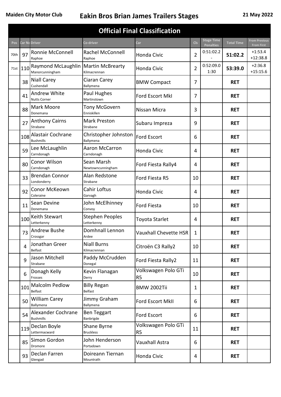|      | <b>Official Final Classification</b>                                                                                                                                                                          |                                                          |                                       |                                       |                                       |                   |                                           |                         |
|------|---------------------------------------------------------------------------------------------------------------------------------------------------------------------------------------------------------------|----------------------------------------------------------|---------------------------------------|---------------------------------------|---------------------------------------|-------------------|-------------------------------------------|-------------------------|
| Pos  |                                                                                                                                                                                                               | Car Nc Driver                                            | Car                                   | <b>Cls</b>                            | <b>Stage Time</b><br><b>Penalties</b> | <b>Total Time</b> | <b>From Previous</b><br><b>From First</b> |                         |
| 70th | 97                                                                                                                                                                                                            | Ronnie McConnell<br>Raphoe                               | Rachel McConnell<br>Raphoe            | Honda Civic                           | $\overline{2}$                        | 0:51:02.2         | 51:02.2                                   | $+1:53.4$<br>$+12:38.8$ |
| 71st | 110                                                                                                                                                                                                           | Raymond McLaughlin   Martin McBrearty<br>Manorcunningham | Kilmacrennan                          | Honda Civic                           | 2                                     | 0:52:09.0<br>1:30 | 53:39.0                                   | $+2:36.8$<br>$+15:15.6$ |
|      | 38                                                                                                                                                                                                            | <b>Niall Carey</b><br>Cushendall                         | Ciaran Carey<br>Ballymena             | <b>BMW Compact</b>                    | 7                                     |                   | <b>RET</b>                                |                         |
|      | 41                                                                                                                                                                                                            | <b>Andrew White</b><br><b>Nutts Corner</b>               | Paul Hughes<br>Martinstown            | Ford Escort MkI                       | 7                                     |                   | <b>RET</b>                                |                         |
|      | 88                                                                                                                                                                                                            | Mark Moore<br>Donemana                                   | Tony McGovern<br>Enniskillen          | Nissan Micra                          | 3                                     |                   | <b>RET</b>                                |                         |
|      | 27                                                                                                                                                                                                            | <b>Anthony Cairns</b><br>Strabane                        | <b>Mark Preston</b><br>Strabane       | Subaru Impreza                        | 9                                     |                   | <b>RET</b>                                |                         |
|      | 108                                                                                                                                                                                                           | Alastair Cochrane<br><b>Bushmills</b>                    | Christopher Johnston<br>Ballymena     | <b>Ford Escort</b>                    | 6                                     |                   | <b>RET</b>                                |                         |
|      | 59                                                                                                                                                                                                            | Lee McLaughlin<br>Carndonagh                             | <b>Aaron McCarron</b><br>Carndonagh   | Honda Civic                           | 4                                     |                   | <b>RET</b>                                |                         |
|      | Conor Wilson<br>Sean Marsh<br>80<br>Carndonagh<br>Newtowncunningham<br><b>Brendan Connor</b><br>Alan Redstone<br>33<br>Londonderry<br>Strabane<br>Conor McKeown<br>Cahir Loftus<br>92<br>Coleraine<br>Garvagh |                                                          | Ford Fiesta Rally4                    | 4                                     |                                       | <b>RET</b>        |                                           |                         |
|      |                                                                                                                                                                                                               |                                                          | Ford Fiesta R5                        | 10                                    |                                       | <b>RET</b>        |                                           |                         |
|      |                                                                                                                                                                                                               |                                                          |                                       | Honda Civic                           | 4                                     |                   | <b>RET</b>                                |                         |
|      | 11                                                                                                                                                                                                            | Sean Devine<br>Donemana                                  | John McElhinney<br>Convoy             | <b>Ford Fiesta</b>                    | 10                                    |                   | <b>RET</b>                                |                         |
|      | 100                                                                                                                                                                                                           | Keith Stewart<br>Letterkenny                             | <b>Stephen Peoples</b><br>Letterkenny | Toyota Starlet                        | 4                                     |                   | <b>RET</b>                                |                         |
|      | 73                                                                                                                                                                                                            | <b>Andrew Bushe</b><br>Crossgar                          | Domhnall Lennon<br>Ardee              | Vauxhall Chevette HSR                 | 1                                     |                   | <b>RET</b>                                |                         |
|      | 4                                                                                                                                                                                                             | Jonathan Greer<br><b>Belfast</b>                         | <b>Niall Burns</b><br>Kilmacrennan    | Citroën C3 Rally2                     | 10                                    |                   | <b>RET</b>                                |                         |
|      | 9                                                                                                                                                                                                             | Jason Mitchell<br>Strabane                               | Paddy McCrudden<br>Donegal            | Ford Fiesta Rally2                    | 11                                    |                   | <b>RET</b>                                |                         |
|      | 6                                                                                                                                                                                                             | Donagh Kelly<br>Frosses                                  | Kevin Flanagan<br>Derry               | Volkswagen Polo GTi<br>R <sub>5</sub> | 10                                    |                   | <b>RET</b>                                |                         |
|      | 101                                                                                                                                                                                                           | <b>Malcolm Pedlow</b><br>Belfast                         | <b>Billy Regan</b><br>Belfast         | <b>BMW 2002Tii</b>                    | 1                                     |                   | <b>RET</b>                                |                         |
|      | 50                                                                                                                                                                                                            | <b>William Carey</b><br>Ballymena                        | Jimmy Graham<br>Ballymena             | Ford Escort MkII                      | 6                                     |                   | <b>RET</b>                                |                         |
|      | 54                                                                                                                                                                                                            | Alexander Cochrane<br><b>Bushmills</b>                   | <b>Ben Teggart</b><br>Banbrigde       | Ford Escort                           | 6                                     |                   | <b>RET</b>                                |                         |
|      | 119                                                                                                                                                                                                           | Declan Boyle<br>Lettermacward                            | Shane Byrne<br><b>Bruckless</b>       | Volkswagen Polo GTi<br>R <sub>5</sub> | 11                                    |                   | <b>RET</b>                                |                         |
|      | 85                                                                                                                                                                                                            | Simon Gordon<br>Dromore                                  | John Henderson<br>Portadown           | Vauxhall Astra                        | 6                                     |                   | <b>RET</b>                                |                         |
|      | 93                                                                                                                                                                                                            | Declan Farren<br>Glengad                                 | Doireann Tiernan<br>Mountrath         | Honda Civic                           | 4                                     |                   | <b>RET</b>                                |                         |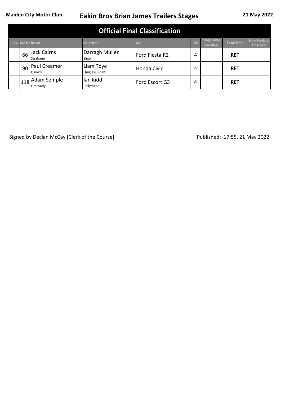|            | <b>Official Final Classification</b> |                              |                                    |                |            |                                       |                   |                                           |
|------------|--------------------------------------|------------------------------|------------------------------------|----------------|------------|---------------------------------------|-------------------|-------------------------------------------|
| <b>Pos</b> |                                      | <b>Car Nc Driver</b>         | <b>Co-driver</b>                   | Car            | <b>CIs</b> | <b>Stage Time</b><br><b>Penalties</b> | <b>Total Time</b> | <b>From Previous</b><br><b>From First</b> |
|            | 66                                   | Jack Cairns<br>Strabane      | Darragh Mullen<br>Sligo            | Ford Fiesta R2 | 4          |                                       | <b>RET</b>        |                                           |
|            | 90                                   | Paul Creamer<br>Hawick       | Liam Toye<br><b>Quigleys Point</b> | Honda Civic    | 4          |                                       | <b>RET</b>        |                                           |
|            |                                      | 1118 Adam Semple<br>Limavady | lan Kidd<br>Ballymena              | Ford Escort G3 | 4          |                                       | <b>RET</b>        |                                           |

Signed by Declan McCay [Clerk of the Course] Signed by Declan McCay [Clerk of the Course] Published: 17:55, 21 May 2022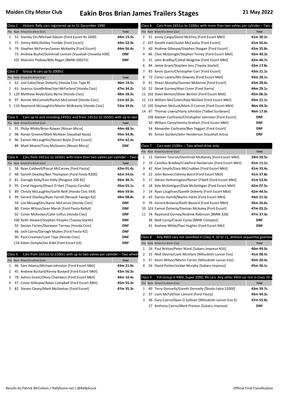| Class 1 |         | Historic Rally cars registered up to 31 December 1990                     |              | Class 6            | Cars from 1651cc to 2100cc with more than two valves per cylinder - Two      |              |
|---------|---------|---------------------------------------------------------------------------|--------------|--------------------|------------------------------------------------------------------------------|--------------|
|         |         | Pos Num Driver/Co-driver [Car]                                            | <b>Total</b> |                    | Pos Num Driver/Co-driver [Car]                                               | <b>Total</b> |
|         |         | 1 53 Stanley Orr/Michael Gibson [Ford Escort Rs 1600]                     | 44m 15.5s    |                    | 1 51 Jonny Cargo/David McElroy [Ford Escort MkII]                            | 41m 30.2s    |
|         | 2 71    | Jimmy Mills/Ashley Trimble [Ford Escort]                                  | 44m 22.9s    |                    | 2 107 Gareth Irwin/Justin McCauley [Ford Escort]                             | 41m 56.6s    |
|         | 3 79    | Stephen McFerran/James McKeefry [Ford Escort]                             | 44m 56.4s    |                    | 3 60 Andrew Gillespie/Stephen Doogan [Ford Escort]                           | 42m 35.8s    |
|         |         | 73 Andrew Bushe/Domhnall Lennon [Vauxhall Chevette HSR]                   | <b>DNF</b>   |                    | 4 86 Clive McGonigle/Stephen Tinney [Ford Escort MkII]                       | 42m 40.3s    |
|         |         | 101 Malcolm Pedlow/Billy Regan [BMW 2002Tii]                              | <b>DNF</b>   |                    | 5 31 John Bradley/Cathal Mulgrew [Ford Escort MkII]                          | 42m 46.7s    |
|         |         |                                                                           |              |                    | 6 84 Jamie Grant/Stephen Jess [Toyota Starlet]                               | 43m 17.8s    |
|         | Class 2 | Group N cars up to 2000cc                                                 |              | 7                  | 83 Kevin Quinn/Christopher Corr [Ford Escort]                                | 43m 21.1s    |
|         |         | Pos Num Driver/Co-driver [Car]                                            | <b>Total</b> |                    | 8 72 Conor Lavery/Mo Downey [Ford Escort MkII]                               | 43m 28.1s    |
|         |         | 1 62 Joel Eakin/Sean Doherty [Honda Civic Type R]                         | 46m 19.5s    |                    | 9 61 Shaun Murphy/Damien McKenna [Ford Escort]                               | 43m 28.6s    |
|         |         | 2 63 Seamus Goodfellow/Joel McFarland [Honda Civic]                       | 47m 34.2s    |                    | 10 52 Derek Gurney/Alan Conor [Ford Sierra]                                  | 44m 29.1s    |
|         |         | 3 120 Matthew Boyle/Gary Byrne [Honda Civic]                              | 48m 28.3s    |                    | 11 102 Steve Benton/Oliver Benton [Ford Escort MkII]                         | 45m 06.2s    |
|         | 4 97    | Ronnie McConnell/Rachel McConnell [Honda Civic]                           | 51m 02.2s    |                    | 12 115 William McClurkin/Kyle McDaid [Ford Escort MkII]                      | 45m 21.1s    |
|         |         | 5 110 Raymond McLaughlin/Martin McBrearty [Honda Civic]                   | 53m 39.0s    |                    | 13 105 Stephen McGurk/Mark O Connor [Ford Escort MkII]                       | 46m 04.3s    |
|         |         |                                                                           |              |                    | 14 87 Thomas Lowry/Harry Johnston [Talbot Sunbeam]                           | 46m 17.0s    |
|         | Class 3 | Cars up to and including 1450cc and from 1451cc to 1650cc with up to two  |              |                    | 108 Alastair Cochrane/Christopher Johnston [Ford Escort]                     | <b>DNF</b>   |
|         |         | Pos Num Driver/Co-driver [Car]                                            | <b>Total</b> |                    | 50 William Carey/Jimmy Graham [Ford Escort MkII]                             | <b>DNF</b>   |
|         | 1 55    | Philip White/Brian Rowan [Nissan Micra]                                   | 44m 48.5s    |                    | 54 Alexander Cochrane/Ben Teggart [Ford Escort]                              | <b>DNF</b>   |
|         | 2 98    | Ronan Greene/Mark McAleer [Vauxhall Nova]                                 | 45m 54.9s    |                    | 85 Simon Gordon/John Henderson [Vauxhall Astra]                              | <b>DNF</b>   |
|         | 3 96    | Eamon McLaughlin/Steven Boyle [Ford Escort]                               | 47m 42.3s    |                    |                                                                              |              |
|         |         | 88 Mark Moore/Tony McGovern [Nissan Micra]                                | <b>DNF</b>   | Class <sub>7</sub> | Cars over 2100cc - Two wheel drive only                                      |              |
|         |         |                                                                           |              |                    | Pos Num Driver/Co-driver [Car]                                               | <b>Total</b> |
|         | Class 4 | Cars from 1451cc to 1650cc with more than two valves per cylinder - Two \ |              |                    | 1 12 Damien Tourish/Domhnall McAlaney [Ford Escort MkII]                     | 39m 59.5s    |
|         |         | Pos Num Driver/Co-driver [Car]                                            | <b>Total</b> |                    | 2 19 Camillus Bradley/Crawford Henderson [Ford Escort MkII]                  | 41m 11.1s    |
| 1       | -58     | Ryan Caldwell/Pascal McCarney [Ford Fiesta]                               | 42m 01.4s    |                    | 3 42 Alan Smyth/Gary McCruddan [Ford Escort MkII]                            | 41m 33.4s    |
| 2       | 48      | Gareth Deazley/Ben Thompson [Ford Fiesta R200]                            | 42m 54.6s    | 4                  | 22 John Bonner/Johnny Baird [Ford Escort MkII]                               | 41m 37.8s    |
| 3       | -81     | Darragh Kelly/Eoin Kelly [Peugeot 208 R2]                                 | 45m 30.7s    |                    | 5 17 Adrian Hetherington/Ronan O'Neill [Ford Escort MkII]                    | 41m 53.4s    |
| 4       | 95      | Conal Hegarty/Shaun O Hart [Toyota Corolla]                               | 45m 55.1s    |                    | 6 18 Kyle McGettigan/Dale McGettigan [Ford Escort MkII]                      | 42m 07.5s    |
| 5       | 89      | Christy McLaughlin/Garth Neill [Honda Civic EK4]                          | 46m 59.9s    |                    | 7 14 Ryan Loughran/Gareth Doherty [Ford Escort MkII]                         | 42m 44.5s    |
| 6       | -99     | Gerard Sharkey/Ryan Farrell [Renault Twingo R2]                           | 49m 08.8s    | 8                  | 43 Darren Hamill/Martin Harte [Ford Escort MkII]                             | 44m 21.3s    |
|         |         | 59 Lee McLaughlin/Aaron McCarron [Honda Civic]                            | <b>DNF</b>   | 9                  | 76 Gerard Browne/Keith Bovaird [Ford Escort MkII]                            | 45m 26.6s    |
|         |         | 80 Conor Wilson/Sean Marsh [Ford Fiesta Rally4]                           | <b>DNF</b>   |                    | 10 103 Eamon Doherty/Damian McAuley [Ford Escort]                            | 47m 03.2s    |
|         |         | 92 Conor McKeown/Cahir Loftus [Honda Civic]                               | <b>DNF</b>   |                    | 11 74 Raymond Gurney/Andrew Robinson [BMW 328]                               | 47m 37.3s    |
|         |         | 100 Keith Stewart/Stephen Peoples [Toyota Starlet]                        | <b>DNF</b>   |                    | 38 Niall Carey/Ciaran Carey [BMW Compact]                                    | <b>DNF</b>   |
|         |         | 93 Declan Farren/Doireann Tiernan [Honda Civic]                           | <b>DNF</b>   |                    | 41 Andrew White/Paul Hughes [Ford Escort MkI]                                | <b>DNF</b>   |
|         |         | 66 Jack Cairns/Darragh Mullen [Ford Fiesta R2]                            | <b>DNF</b>   |                    |                                                                              |              |
|         |         | 90 Paul Creamer/Liam Toye [Honda Civic]                                   | <b>DNF</b>   | Class 8            | Any 4WD cars not classified in Class 9, 10 or 11, without sequential gearbox |              |
|         |         | 118 Adam Semple/Ian Kidd [Ford Escort G3]                                 | <b>DNF</b>   |                    | Pos Num Driver/Co-driver [Car]                                               | <b>Total</b> |
|         |         |                                                                           |              |                    | 1 26 Paul Britton/Peter Ward [Subaru Impreza N16]                            | 40m 49.0s    |
|         | Class 5 | Cars from 1651cc to 2100cc with up to two valves per cylinder - Two wheel |              |                    | 2 15 Niall Devine/Liam McIntyre [Mitsubishi Lancer Evo]                      | 41m 08.5s    |
|         |         | Pos Num Driver/Co-driver [Car]                                            | <b>Total</b> |                    | 3 57 Kevin Wilson/Martin Farren [Mitsubishi Lancer Evo]                      | 45m 20.4s    |
| 1       | -46     | Sam Adams/Michael Johnston [Ford Escort MkII]                             | 43m 21.9s    |                    | 4 56 David Porter/Jordan Murphy [Subaru Impreza]                             | 45m 36.1s    |
|         | 2 45    | Andrew Bustard/Kenny Bustard [Ford Escort MkII]                           | 43m 56.3s    |                    |                                                                              |              |
| 3       | - 78    | Adrian Grant/Olivia Chambers [Ford Escort MkII]                           | 44m 10.4s    | Class 9            | FIA Group A 4WD, Super 2000, R4 cars. Any other 4WD car not in Class 10 o    |              |
| 4       | 47      | Conor Gillespie/Aidan Campbell [Ford Escort MkII]                         | 45m 55.3s    |                    | Pos Num Driver/Co-driver [Car]                                               | Total        |
|         | 5 82    | Steven Cleary/Mark McGeehan [Ford Escort]                                 | 47m 35.3s    |                    | 1 40 Terry Donnelly/Gareth Donnelly [Škoda Fabia S2000]                      | 43m 39.7s    |
|         |         |                                                                           |              | 2                  | 37 Liam McFall/Ivor Lamont [Ford Fiesta]                                     | 45m 44.3s    |
|         |         |                                                                           |              | 3                  | 36 Gary Cairns/Dean O Sullivan [Mitsubishi Lancer Evo X]                     | 47m 55.8s    |
|         |         |                                                                           |              |                    | 27 Anthony Cairns/Mark Preston [Subaru Impreza]                              | <b>DNF</b>   |
|         |         |                                                                           |              |                    |                                                                              |              |
|         |         |                                                                           |              |                    |                                                                              |              |

|    | Class 6 | Cars from 1651cc to 2100cc with more than two valves per cylinder – Two |              |
|----|---------|-------------------------------------------------------------------------|--------------|
|    |         | Pos Num Driver/Co-driver [Car]                                          | <b>Total</b> |
| 1  |         | 51 Jonny Cargo/David McElroy [Ford Escort MkII]                         | 41m 30.2s    |
| 2  |         | 107 Gareth Irwin/Justin McCauley [Ford Escort]                          | 41m 56.6s    |
| 3  |         | 60 Andrew Gillespie/Stephen Doogan [Ford Escort]                        | 42m 35.8s    |
| 4  |         | 86 Clive McGonigle/Stephen Tinney [Ford Escort MkII]                    | 42m 40.3s    |
| 5  |         | 31 John Bradley/Cathal Mulgrew [Ford Escort MkII]                       | 42m 46.7s    |
| 6  |         | 84 Jamie Grant/Stephen Jess [Toyota Starlet]                            | 43m 17.8s    |
| 7  |         | 83 Kevin Quinn/Christopher Corr [Ford Escort]                           | 43m 21.1s    |
| 8  |         | 72 Conor Lavery/Mo Downey [Ford Escort MkII]                            | 43m 28.1s    |
| 9  |         | 61 Shaun Murphy/Damien McKenna [Ford Escort]                            | 43m 28.6s    |
| 10 |         | 52 Derek Gurney/Alan Conor [Ford Sierra]                                | 44m 29.1s    |
| 11 |         | 102 Steve Benton/Oliver Benton [Ford Escort MkII]                       | 45m 06.2s    |
|    |         | 12 115 William McClurkin/Kyle McDaid [Ford Escort MkII]                 | 45m 21.1s    |
|    |         | 13 105 Stephen McGurk/Mark O Connor [Ford Escort MkII]                  | 46m 04.3s    |
|    |         | 14 87 Thomas Lowry/Harry Johnston [Talbot Sunbeam]                      | 46m 17.0s    |
|    |         | 108 Alastair Cochrane/Christopher Johnston [Ford Escort]                | <b>DNF</b>   |
|    |         | 50 William Carey/Jimmy Graham [Ford Escort MkII]                        | <b>DNF</b>   |
|    |         | 54 Alexander Cochrane/Ben Teggart [Ford Escort]                         | <b>DNF</b>   |
|    |         | 85 Simon Gordon/John Henderson [Vauxhall Astra]                         | <b>DNF</b>   |

#### $\epsilon$ ars over 2100cc – Two wheel drive only

|    | Pos Num Driver/Co-driver [Car]                            | <b>Total</b> |
|----|-----------------------------------------------------------|--------------|
| 1  | 12 Damien Tourish/Domhnall McAlaney [Ford Escort MkII]    | 39m 59.5s    |
| 2  | 19 Camillus Bradley/Crawford Henderson [Ford Escort MkII] | 41m 11.1s    |
| 3  | 42 Alan Smyth/Gary McCruddan [Ford Escort MkII]           | 41m 33.4s    |
| 4  | 22 John Bonner/Johnny Baird [Ford Escort MkII]            | 41m 37.8s    |
| 5  | 17 Adrian Hetherington/Ronan O'Neill [Ford Escort MkII]   | 41m 53.4s    |
| 6  | 18 Kyle McGettigan/Dale McGettigan [Ford Escort MkII]     | 42m 07.5s    |
| 7  | 14 Ryan Loughran/Gareth Doherty [Ford Escort MkII]        | 42m 44.5s    |
| 8  | 43 Darren Hamill/Martin Harte [Ford Escort MkII]          | 44m 21.3s    |
| 9  | 76 Gerard Browne/Keith Bovaird [Ford Escort MkII]         | 45m 26.6s    |
| 10 | 103 Eamon Doherty/Damian McAuley [Ford Escort]            | 47m 03.2s    |
| 11 | 74 Raymond Gurney/Andrew Robinson [BMW 328]               | 47m 37.3s    |
|    | 38 Niall Carey/Ciaran Carey [BMW Compact]                 | <b>DNF</b>   |
|    | 41 Andrew White/Paul Hughes [Ford Escort MkI]             | <b>DNF</b>   |

| Class 8 |  | Any 4WD cars not classified in Class 9, 10 or 11, without sequential gearbox |              |
|---------|--|------------------------------------------------------------------------------|--------------|
|         |  | Pos Num Driver/Co-driver [Car]                                               | <b>Total</b> |
| 1       |  | 26 Paul Britton/Peter Ward [Subaru Impreza N16]                              | 40m 49.0s    |
|         |  | 2 15 Niall Devine/Liam McIntyre [Mitsubishi Lancer Evo]                      | 41m 08.5s    |
| 3       |  | 57 Kevin Wilson/Martin Farren [Mitsubishi Lancer Evo]                        | 45m 20.4s    |
|         |  | 4 56 David Porter/Jordan Murphy [Subaru Impreza]                             | 45m 36.1s    |
|         |  |                                                                              |              |

|              | Class 9 | FIA Group A 4WD, Super 2000, R4 cars. Any other 4WD car not in Class 10 c |              |
|--------------|---------|---------------------------------------------------------------------------|--------------|
|              |         | Pos Num Driver/Co-driver [Car]                                            | <b>Total</b> |
| $\mathbf{1}$ |         | 40 Terry Donnelly/Gareth Donnelly [Škoda Fabia S2000]                     | 43m 39.7s    |
|              |         | 2 37 Liam McFall/Ivor Lamont [Ford Fiesta]                                | 45m 44.3s    |
| 3.           |         | 36 Gary Cairns/Dean O Sullivan [Mitsubishi Lancer Evo X]                  | 47m 55.8s    |
|              |         | 27 Anthony Cairns/Mark Preston [Subaru Impreza]                           | <b>DNF</b>   |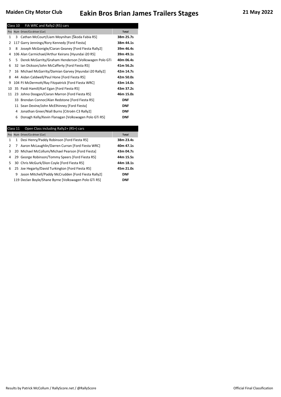|              | Class 10 | FIA WRC and Rally2 (R5) cars                            |              |
|--------------|----------|---------------------------------------------------------|--------------|
|              |          | Pos Num Driver/Co-driver [Car]                          | <b>Total</b> |
| $\mathbf{1}$ | 3        | Cathan McCourt/Liam Moynihan [Škoda Fabia R5]           | 38m 25.7s    |
| 2            |          | 117 Garry Jennings/Rory Kennedy [Ford Fiesta]           | 38m 44.1s    |
| 3            | 8        | Joseph McGonigle/Ciaran Geaney [Ford Fiesta Rally2]     | 39m 46.4s    |
| 4            |          | 106 Alan Carmichael/Arthur Keirans [Hyundai i20 R5]     | 39m 49.1s    |
| 5            |          | 5 Derek McGarrity/Graham Henderson [Volkswagen Polo GTi | 40m 06.4s    |
| 6            |          | 32 Ian Dickson/John McCafferty [Ford Fiesta R5]         | 41m 56.2s    |
| 7            |          | 16 Michael McGarrity/Damian Garvey [Hyundai i20 Rally2] | 42m 14.7s    |
| 8            |          | 44 Aidan Caldwell/Paul Hone [Ford Fiesta R5]            | 42m 50.0s    |
| 9            |          | 104 PJ McDermott/Ray Fitzpatrick [Ford Fiesta WRC]      | 43m 14.0s    |
| 10           |          | 35 Paidi Hamill/Karl Egan [Ford Fiesta R5]              | 43m 37.2s    |
| 11           |          | 23 Johno Doogan/Ciaran Marron [Ford Fiesta R5]          | 46m 15.0s    |
|              |          | 33 Brendan Connor/Alan Redstone [Ford Fiesta R5]        | <b>DNF</b>   |
|              |          | 11 Sean Devine/John McElhinney [Ford Fiesta]            | <b>DNF</b>   |
|              | 4        | Jonathan Greer/Niall Burns [Citroën C3 Rally2]          | <b>DNF</b>   |
|              | 6        | Donagh Kelly/Kevin Flanagan [Volkswagen Polo GTi R5]    | DNF          |
|              |          |                                                         |              |

|   | Class 11 | Open Class including Rally2+ (R5+) cars               |              |
|---|----------|-------------------------------------------------------|--------------|
|   |          | Pos Num Driver/Co-driver [Car]                        | <b>Total</b> |
| 1 | 1        | Desi Henry/Paddy Robinson [Ford Fiesta R5]            | 38m 23.4s    |
| 2 | 7        | Aaron McLaughlin/Darren Curran [Ford Fiesta WRC]      | 40m 47.1s    |
| 3 |          | 20 Michael McCollum/Michael Pearson [Ford Fiesta]     | 43m 04.7s    |
| 4 |          | 29 George Robinson/Tommy Speers [Ford Fiesta R5]      | 44m 15.5s    |
| 5 |          | 30 Chris McGurk/Dion Coyle [Ford Fiesta R5]           | 44m 18.1s    |
| 6 |          | 25 Joe Hegarty/David Turkington [Ford Fiesta R5]      | 45m 21.0s    |
|   | 9        | Jason Mitchell/Paddy McCrudden [Ford Fiesta Rally2]   | <b>DNF</b>   |
|   |          | 119 Declan Boyle/Shane Byrne [Volkswagen Polo GTi R5] | <b>DNF</b>   |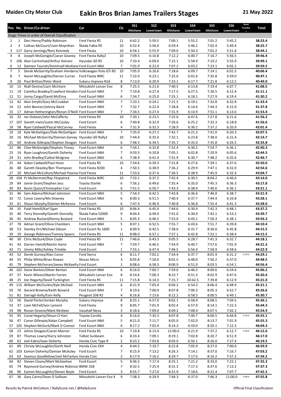|                |          | Pos No. Driver/Co-driver                                                           | Car                             | Cls            | <b>SS1</b><br>Altishane | SS <sub>2</sub><br>Lowertown | SS <sub>3</sub><br>Altishane | <b>SS4</b><br>Lowertown | SS <sub>5</sub><br>Altishane | SS <sub>6</sub><br>Lowertown | Road<br>Penaltie<br>$\mathbf{s}$ | Total              |
|----------------|----------|------------------------------------------------------------------------------------|---------------------------------|----------------|-------------------------|------------------------------|------------------------------|-------------------------|------------------------------|------------------------------|----------------------------------|--------------------|
|                |          | Stage Times in order of Overall Classification                                     |                                 |                |                         |                              |                              |                         |                              |                              |                                  |                    |
| 1              | 1        | Desi Henry/Paddy Robinson                                                          | Ford Fiesta R5                  | 11             | 6:42.2                  | 5:59.5                       | 7:00.1                       | 5:55.2                  | 7:01.2                       | 5:45.2                       |                                  | 38:23.4            |
| $\overline{2}$ | 3        | Cathan McCourt/Liam Moynihan                                                       | Škoda Fabia R5                  | 10             | 6:52.4                  | 5:56.0                       | 6:59.4                       | 5:46.1                  | 7:02.4                       | 5:49.4                       |                                  | 38:25.7            |
| 3              | 117      | Garry Jennings/Rory Kennedy                                                        | Ford Fiesta                     | 10             | 6:56.1                  | 5:55.9                       | 7:09.0                       | 5:50.3                  | 7:01.2                       | 5:51.6                       |                                  | 38:44.1            |
| $\overline{4}$ | 8        | Joseph McGonigle/Ciaran Geaney                                                     | Ford Fiesta Rally2              | 10             | 7:09.5                  | 6:10.8                       | 7:12.2                       | 6:00.7                  | 7:16.7                       | 5:56.5                       |                                  | 39:46.4            |
| 5              |          | 106 Alan Carmichael/Arthur Keirans                                                 | Hyundai i20 R5                  | 10             | 7:10.4                  | 6:09.6                       | 7:15.1                       | 5:58.9                  | 7:19.2                       | 5:55.9                       |                                  | 39:49.1            |
| 6              | 12       | Damien Tourish/Domhnall McAlane Ford Escort MkII                                   |                                 | 7              | 7:01.9                  | 6:22.0                       | 7:07.2                       | 6:03.2                  | 7:23.1                       | 6:02.1                       |                                  | 39:59.5            |
| 7              | 5        | Derek McGarrity/Graham Hendersc Volkswagen Polo GTi R5                             |                                 | 10             | 7:05.9                  | 6:16.6                       | 7:18.6                       | 6:09.7                  | 7:14.1                       | 6:01.5                       |                                  | 40:06.4            |
| 8              | 7        | Aaron McLaughlin/Darren Curran Ford Fiesta WRC                                     |                                 | 11             | 7:22.0                  | 6:23.1                       | 7:25.6                       | 6:01.6                  | 7:35.8                       | 5:59.0                       |                                  | 40:47.1            |
| 9              | 26       | Paul Britton/Peter Ward                                                            | Subaru Impreza N16              | 8              | 7:13.0                  | 6:20.9                       | 7:23.1                       | 6:17.7                  | 7:21.8                       | 6:12.5                       |                                  | 40:49.0            |
| 10             | 15       | Niall Devine/Liam McIntyre                                                         | Mitsubishi Lancer Evo           | 8              | 7:25.5                  | 6:21.6                       | 7:40.5                       | 6:13.8                  | 7:19.4                       | 6:07.7                       |                                  | 41:08.5            |
| 11<br>12       | 19       | Camillus Bradley/Crawford Henders Ford Escort MkII<br>51 Jonny Cargo/David McElroy | Ford Escort MkII                | 7<br>6         | 7:19.8                  | 6:27.4                       | 7:17.5<br>7:25.1             | 6:27.5                  | 7:26.5<br>7:27.9             | 6:12.4<br>6:19.4             |                                  | 41:11.1<br>41:30.2 |
| 13             |          | 42 Alan Smyth/Gary McCruddan                                                       | Ford Escort MkII                | $\overline{7}$ | 7:34.7<br>7:23.1        | 6:25.0<br>6:24.1             | 7:21.5                       | 6:18.1<br>6:19.1        | 7:32.8                       | 6:32.8                       |                                  | 41:33.4            |
| 14             |          | 22 John Bonner/Johnny Baird                                                        | Ford Escort MkII                | $\overline{7}$ | 7:32.7                  | 6:22.4                       | 7:28.8                       | 6:14.6                  | 7:44.3                       | 6:15.0                       |                                  | 41:37.8            |
| 15             |          | 17 Adrian Hetherington/Ronan O'Neill Ford Escort MkII                              |                                 | 7              | 7:34.5                  | 6:27.4                       | 7:31.9                       | 6:14.9                  | 7:51.1                       | 6:13.6                       |                                  | 41:53.4            |
| 16             |          | 32 Ian Dickson/John McCafferty                                                     | Ford Fiesta R5                  | 10             | 7:30.1                  | 6:23.5                       | 7:25.6                       | 6:47.6                  | 7:27.8                       | 6:21.6                       |                                  | 41:56.2            |
| 17             |          | 107 Gareth Irwin/Justin McCauley                                                   | Ford Escort                     | 6              | 7:40.8                  | 6:32.9                       | 7:26.6                       | 6:25.2                  | 7:32.3                       | 6:18.8                       |                                  | 41:56.6            |
| 18             | 58       | Ryan Caldwell/Pascal McCarney                                                      | Ford Fiesta                     | 4              | 7:31.9                  | 6:32.3                       | 7:28.9                       | 6:30.2                  | 7:37.2                       | 6:20.9                       |                                  | 42:01.4            |
| 19             | 18       | Kyle McGettigan/Dale McGettigan                                                    | <b>Ford Escort MkII</b>         | $\overline{7}$ | 7:35.0                  | 6:27.2                       | 7:42.7                       | 6:21.3                  | 7:41.0                       | 6:20.3                       |                                  | 42:07.5            |
| 20             |          | 16 Michael McGarrity/Damian Garvey Hyundai i20 Rally2                              |                                 | 10             | 7:44.4                  | 6:35.0                       | 7:32.1                       | 6:23.8                  | 7:38.0                       | 6:21.4                       |                                  | 42:14.7            |
| 21             | 60       | Andrew Gillespie/Stephen Doogan Ford Escort                                        |                                 | 6              | 7:48.3                  | 6:34.5                       | 7:35.7                       | 6:35.0                  | 7:35.8                       | 6:26.5                       |                                  | 42:35.8            |
| 22             | 86       | Clive McGonigle/Stephen Tinney                                                     | Ford Escort MkII                | 6              | 7:34.1                  | 6:32.8                       | 7:32.4                       | 6:30.2                  | 7:54.7                       | 6:36.1                       |                                  | 42:40.3            |
| 23             | 14       | Ryan Loughran/Gareth Doherty                                                       | Ford Escort MkII                | 7              | 9:59.3                  | 6:10.8                       | 7:05.1                       | 6:02.8                  | 7:20.9                       | 6:05.6                       |                                  | 42:44.5            |
| 24             | 31       | John Bradley/Cathal Mulgrew                                                        | Ford Escort MkII                | 6              | 7:38.9                  | 6:41.4                       | 7:31.9                       | 6:30.7                  | 7:48.2                       | 6:35.6                       |                                  | 42:46.7            |
| 25             | 44       | Aidan Caldwell/Paul Hone                                                           | Ford Fiesta R5                  | 10             | 7:54.6                  | 6:39.3                       | 7:31.8                       | 6:27.6                  | 7:39.1                       | 6:37.6                       |                                  | 42:50.0            |
| 26             | 48       | Gareth Deazley/Ben Thompson                                                        | Ford Fiesta R200                | 4              | 7:50.5                  | 6:38.9                       | 7:36.2                       | 6:29.9                  | 7:47.1                       | 6:32.0                       |                                  | 42:54.6            |
| 27             | 20       | Michael McCollum/Michael Pearsor Ford Fiesta                                       |                                 | 11             | 7:53.6                  | 6:37.4                       | 7:36.5                       | 6:38.9                  | 7:45.9                       | 6:32.4                       |                                  | 43:04.7            |
| 28             |          | 104 PJ McDermott/Ray Fitzpatrick                                                   | Ford Fiesta WRC                 | 10             | 7:33.1                  | 6:37.2                       | 7:42.4                       | 6:30.5                  | 8:04.2                       | 6:46.6                       |                                  | 43:14.0            |
| 29             | 84       | Jamie Grant/Stephen Jess                                                           | Toyota Starlet                  | 6              | 7:56.2                  | 6:49.6                       | 7:35.4                       | 6:35.0                  | 7:45.3                       | 6:36.3                       |                                  | 43:17.8            |
| 30             | 83       | Kevin Quinn/Christopher Corr                                                       | Ford Escort                     | 6              | 7:51.5                  | 6:50.7                       | 7:43.3                       | 6:38.9                  | 7:40.6                       | 6:36.1                       |                                  | 43:21.1            |
| 31             | 46       | Sam Adams/Michael Johnston                                                         | Ford Escort MkII                | 5              | 7:54.3                  | 6:42.5                       | 7:43.8                       | 6:36.6                  | 7:46.0                       | 6:38.7                       |                                  | 43:21.9            |
| 32             | 72<br>61 | Conor Lavery/Mo Downey                                                             | Ford Escort MkII                | 6              | 8:00.3                  | 6:51.5                       | 7:40.4                       | 6:37.7                  | 7:44.4                       | 6:33.8                       |                                  | 43:28.1            |
| 33<br>34       | 35       | Shaun Murphy/Damien McKenna<br>Paidi Hamill/Karl Egan                              | Ford Escort<br>Ford Fiesta R5   | 6<br>10        | 7:47.4<br>8:06.4        | 6:46.9<br>6:45.4             | 7:40.8<br>7:44.6             | 6:36.8<br>6:30.4        | 7:55.4<br>7:42.3             | 6:41.3<br>6:48.1             |                                  | 43:28.6<br>43:37.2 |
| 35             |          | 40 Terry Donnelly/Gareth Donnelly                                                  | Škoda Fabia S2000               | 9              | 8:04.4                  | 6:49.0                       | 7:41.0                       | 6:30.0                  | 7:42.1                       | 6:53.2                       |                                  | 43:39.7            |
| 36             | 45       | Andrew Bustard/Kenny Bustard                                                       | Ford Escort MkII                | 5              | 8:05.3                  | 6:46.5                       | 7:53.0                       | 6:43.1                  | 7:50.3                       | 6:38.1                       |                                  | 43:56.3            |
| 37             | 78       | Adrian Grant/Olivia Chambers                                                       | Ford Escort MkII                | 5              | 8:07.1                  | 6:52.5                       | 7:55.7                       | 6:43.6                  | 7:51.7                       | 6:39.8                       |                                  | 44:10.4            |
| 38             |          | 53 Stanley Orr/Michael Gibson                                                      | Ford Escort Rs 1600             | $\mathbf{1}$   | 8:00.9                  | 6:42.5                       | 7:38.6                       | 6:31.7                  | 8:36.0                       | 6:45.8                       |                                  | 44:15.5            |
| 39             |          | 29 George Robinson/Tommy Speers                                                    | Ford Fiesta R5                  | 11             | 8:08.0                  | 6:57.1                       | 7:57.1                       | 6:42.8                  | 7:52.1                       | 6:38.4                       |                                  | 44:15.5            |
| 40             |          | 30 Chris McGurk/Dion Coyle                                                         | Ford Fiesta R5                  | 11             | 7:46.6                  | 6:43.3                       | 9:05.5                       | 6:28.7                  | 7:41.3                       | 6:32.7                       |                                  | 44:18.1            |
| 41             | 43       | Darren Hamill/Martin Harte                                                         | Ford Escort MkII                | 7              | 7:59.7                  | 6:46.5                       | 7:54.9                       | 6:40.7                  | 7:57.6                       | 7:01.9                       |                                  | 44:21.3            |
| 42             | 71       | Jimmy Mills/Ashley Trimble                                                         | Ford Escort                     | 1              | 7:55.1                  | 6:47.4                       | 7:46.5                       | 6:56.4                  | 7:58.9                       | 6:58.6                       |                                  | 44:22.9            |
| 43             |          | 52 Derek Gurney/Alan Conor                                                         | Ford Sierra                     | 6              | 8:11.7                  | 7:02.2                       | 7:54.4                       | 6:37.7                  | 8:01.9                       | 6:31.2                       | 0:10.0                           | 44:29.1            |
| 44             | 55       | Philip White/Brian Rowan                                                           | Nissan Micra                    | 3              | 8:05.8                  | 7:20.0                       | 8:01.5                       | 6:48.0                  | 7:56.2                       | 6:37.0                       |                                  | 44:48.5            |
| 45             | 79       | Stephen McFerran/James McKeefry Ford Escort                                        |                                 | 1              | 8:08.6                  | 6:58.3                       | 8:00.9                       | 6:51.0                  | 8:03.5                       | 6:54.1                       |                                  | 44:56.4            |
| 46             |          | 102 Steve Benton/Oliver Benton                                                     | Ford Escort MkII                | 6              | 8:16.0                  | 7:00.7                       | 7:59.0                       | 6:46.3                  | 8:09.6                       | 6:54.6                       |                                  | 45:06.2            |
| 47             | 57       | Kevin Wilson/Martin Farren                                                         | Mitsubishi Lancer Evo           | 8              | 8:14.6                  | 7:00.3                       | 8:23.7                       | 6:51.3                  | 8:02.9                       | 6:47.6                       |                                  | 45:20.4            |
| 48             | 25       | Joe Hegarty/David Turkington                                                       | Ford Fiesta R5                  | 11             | 7:15.8                  | 6:14.3                       | 7:15.7                       | 10:42.5                 | 7:39.8                       | 6:12.9                       |                                  | 45:21.0            |
| 49             |          | 115 William McClurkin/Kyle McDaid                                                  | Ford Escort MkII                | 6              | 8:21.9                  | 7:05.4                       | 8:04.2                       | 6:54.3                  | 8:06.4                       | 6:48.9                       |                                  | 45:21.1            |
| 50             | 76       | Gerard Browne/Keith Bovaird                                                        | Ford Escort MkII                | 7              | 8:19.6                  | 7:00.9                       | 8:07.8                       | 7:00.3                  | 8:05.3                       | 6:52.7                       |                                  | 45:26.6            |
| 51             | 81       | Darragh Kelly/Eoin Kelly                                                           | Peugeot 208 R2                  | 4              | 8:16.8                  | 7:13.6                       | 8:12.2                       | 6:58.5                  | 8:00.5                       | 6:49.1                       |                                  | 45:30.7            |
| 52             | 56       | David Porter/Jordan Murphy                                                         | Subaru Impreza                  | 8              | 8:25.1                  | 6:57.0                       | 8:02.1                       | 6:58.9                  | 8:08.5                       | 7:04.5                       |                                  | 45:36.1            |
| 53             | 37       | Liam McFall/Ivor Lamont                                                            | Ford Fiesta                     | 9              | 8:05.7                  | 7:01.9                       | 8:02.4                       | 6:57.9                  | 8:14.1                       | 7:22.3                       |                                  | 45:44.3            |
| 54             | 98       | Ronan Greene/Mark McAleer<br>Conal Hegarty/Shaun O Hart                            | Vauxhall Nova<br>Toyota Corolla | 3<br>4         | 8:18.6<br>8:16.0        | 7:09.0<br>7:35.3             | 8:09.2<br>8:07.8             | 7:08.4                  | 8:07.5<br>8:00.5             | 7:02.2<br>6:44.8             | 0:10.0                           | 45:54.9<br>45:55.1 |
| 55<br>56       | 95<br>47 | Conor Gillespie/Aidan Campbell                                                     | Ford Escort MkII                | 5              | 8:21.0                  | 7:11.7                       | 8:05.0                       | 7:00.7<br>7:02.0        | 8:13.7                       | 7:01.9                       |                                  | 45:55.3            |
| 57             |          | 105 Stephen McGurk/Mark O Connor                                                   | Ford Escort MkII                | 6              | 8:17.2                  | 7:01.4                       | 8:14.3                       | 6:59.0                  | 8:20.1                       | 7:12.3                       |                                  | 46:04.3            |
| 58             | 23       | Johno Doogan/Ciaran Marron                                                         | Ford Fiesta R5                  | 10             | 7:19.8                  | 6:13.4                       | 12:00.0                      | 6:21.9                  | 7:37.2                       | 6:12.7                       | 0:30.0                           | 46:15.0            |
| 59             | 87       | Thomas Lowry/Harry Johnston                                                        | <b>Talbot Sunbeam</b>           | 6              | 8:33.4                  | 7:09.1                       | 8:19.1                       | 7:02.8                  | 8:20.7                       | 6:51.9                       |                                  | 46:17.0            |
| 60             | 62       | Joel Eakin/Sean Doherty                                                            | Honda Civic Type R              | 2              | 8:23.2                  | 7:03.8                       | 8:03.0                       | 6:56.1                  | 8:26.0                       | 7:27.4                       |                                  | 46:19.5            |
| 61             | 89       | Christy McLaughlin/Garth Neill                                                     | Honda Civic EK4                 | 4              | 8:44.5                  | 7:19.7                       | 8:22.8                       | 7:05.9                  | 8:27.0                       | 7:00.0                       |                                  | 46:59.9            |
| 62             |          | 103 Eamon Doherty/Damian McAuley                                                   | Ford Escort                     | 7              | 8:15.9                  | 7:13.2                       | 8:26.3                       | 7:14.1                  | 8:37.0                       | 7:16.7                       |                                  | 47:03.2            |
| 63             | 63       | Seamus Goodfellow/Joel McFarlanc Honda Civic                                       |                                 | $\overline{2}$ | 8:17.9                  | 7:16.2                       | 8:29.7                       | 7:17.0                  | 8:16.2                       | 7:57.2                       |                                  | 47:34.2            |
| 64             | 82       | Steven Cleary/Mark McGeehan                                                        | Ford Escort                     | 5              | 8:36.5                  | 7:17.4                       | 8:25.1                       | 7:21.2                  | 8:33.0                       | 7:22.1                       |                                  | 47:35.3            |
| 65             | 74       | Raymond Gurney/Andrew Robinsor BMW 328                                             |                                 | $\overline{7}$ | 8:32.5                  | 7:25.4                       | 8:31.3                       | 7:17.3                  | 8:37.6                       | 7:13.2                       |                                  | 47:37.3            |
| 66             | 96       | Eamon McLaughlin/Steven Boyle                                                      | Ford Escort                     | 3              | 8:55.7                  | 7:27.0                       | 8:31.9                       | 7:18.6                  | 8:21.4                       | 7:07.7                       |                                  | 47:42.3            |
| 67             |          | 36 Gary Cairns/Dean O Sullivan                                                     | Mitsubishi Lancer Evo X         | 9              | 7:38.3                  | 6:29.9                       | 7:44.3                       | 6:37.0                  | 7:46.3                       | 11:00.0                      | 0:40.0                           | 47:55.8            |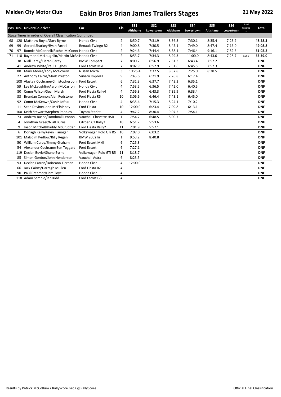|    |     | Pos No. Driver/Co-driver                                   | Car                    | <b>CIs</b>     | <b>SS1</b><br><b>Altishane</b> | SS <sub>2</sub><br>Lowertown | SS <sub>3</sub><br>Altishane | <b>SS4</b><br>Lowertown | SS <sub>5</sub><br><b>Altishane</b> | SS <sub>6</sub><br>Lowertown | Road<br>Penaltie<br>$\mathbf{c}$ | <b>Total</b> |
|----|-----|------------------------------------------------------------|------------------------|----------------|--------------------------------|------------------------------|------------------------------|-------------------------|-------------------------------------|------------------------------|----------------------------------|--------------|
|    |     | Stage Times in order of Overall Classification (continued) |                        |                |                                |                              |                              |                         |                                     |                              |                                  |              |
| 68 |     | 120 Matthew Boyle/Gary Byrne                               | Honda Civic            | 2              | 8:50.7                         | 7:31.9                       | 8:36.3                       | 7:30.1                  | 8:35.4                              | 7:23.9                       |                                  | 48:28.3      |
| 69 | 99  | Gerard Sharkey/Ryan Farrell                                | Renault Twingo R2      | 4              | 9:00.8                         | 7:30.5                       | 8:45.1                       | 7:49.0                  | 8:47.4                              | 7:16.0                       |                                  | 49:08.8      |
| 70 | 97  | Ronnie McConnell/Rachel McConne Honda Civic                |                        | 2              | 9:24.6                         | 7:44.4                       | 8:58.1                       | 7:46.4                  | 9:16.1                              | 7:52.6                       |                                  | 51:02.2      |
| 71 | 110 | Raymond McLaughlin/Martin McBr Honda Civic                 |                        | $\overline{2}$ | 8:53.7                         | 7:34.3                       | 8:29.3                       | 11:00.0                 | 8:43.0                              | 7:28.7                       | 1:30.0                           | 53:39.0      |
|    | 38  | Niall Carey/Ciaran Carey                                   | <b>BMW Compact</b>     | 7              | 8:00.7                         | 6:56.9                       | 7:51.3                       | 6:43.4                  | 7:52.2                              |                              |                                  | <b>DNF</b>   |
|    |     | 41 Andrew White/Paul Hughes                                | Ford Escort MkI        | $\overline{7}$ | 8:02.9                         | 6:52.9                       | 7:51.6                       | 6:45.5                  | 7:52.3                              |                              |                                  | <b>DNF</b>   |
|    | 88  | Mark Moore/Tony McGovern                                   | Nissan Micra           | 3              | 10:25.4                        | 7:37.5                       | 8:37.8                       | 7:25.0                  | 8:38.5                              |                              |                                  | <b>DNF</b>   |
|    | 27  | Anthony Cairns/Mark Preston                                | Subaru Impreza         | 9              | 7:45.6                         | 6:21.9                       | 7:26.8                       | 6:17.4                  |                                     |                              |                                  | <b>DNF</b>   |
|    |     | 108 Alastair Cochrane/Christopher John Ford Escort         |                        | 6              | 7:31.3                         | 6:37.7                       | 7:43.3                       | 6:35.1                  |                                     |                              |                                  | <b>DNF</b>   |
|    | 59  | Lee McLaughlin/Aaron McCarron                              | Honda Civic            | 4              | 7:53.5                         | 6:36.5                       | 7:42.0                       | 6:40.5                  |                                     |                              |                                  | <b>DNF</b>   |
|    | 80  | Conor Wilson/Sean Marsh                                    | Ford Fiesta Rally4     | 4              | 7:56.8                         | 6:43.3                       | 7:39.9                       | 6:33.4                  |                                     |                              |                                  | <b>DNF</b>   |
|    | 33  | Brendan Connor/Alan Redstone                               | Ford Fiesta R5         | 10             | 8:06.6                         | 6:46.4                       | 7:43.1                       | 6:45.0                  |                                     |                              |                                  | <b>DNF</b>   |
|    | 92  | Conor McKeown/Cahir Loftus                                 | Honda Civic            | 4              | 8:35.4                         | 7:15.3                       | 8:24.1                       | 7:10.2                  |                                     |                              |                                  | <b>DNF</b>   |
|    | 11  | Sean Devine/John McElhinney                                | <b>Ford Fiesta</b>     | 10             | 12:00.0                        | 6:23.4                       | 7:09.8                       | 6:13.1                  |                                     |                              |                                  | <b>DNF</b>   |
|    | 100 | Keith Stewart/Stephen Peoples                              | <b>Toyota Starlet</b>  | 4              | 9:47.2                         | 8:30.4                       | 9:07.2                       | 7:54.1                  |                                     |                              |                                  | <b>DNF</b>   |
|    | 73  | Andrew Bushe/Domhnall Lennon                               | Vauxhall Chevette HSR  | $\mathbf{1}$   | 7:54.7                         | 6:48.5                       | 8:00.7                       |                         |                                     |                              |                                  | <b>DNF</b>   |
|    | 4   | Jonathan Greer/Niall Burns                                 | Citroën C3 Rally2      | 10             | 6:51.2                         | 5:53.6                       |                              |                         |                                     |                              |                                  | <b>DNF</b>   |
|    | 9   | Jason Mitchell/Paddy McCrudden                             | Ford Fiesta Rally2     | 11             | 7:01.9                         | 5:57.1                       |                              |                         |                                     |                              |                                  | <b>DNF</b>   |
|    | 6   | Donagh Kelly/Kevin Flanagan                                | Volkswagen Polo GTi R5 | 10             | 7:07.0                         | 6:03.2                       |                              |                         |                                     |                              |                                  | <b>DNF</b>   |
|    | 101 | Malcolm Pedlow/Billy Regan                                 | <b>BMW 2002Tii</b>     | 1              | 9:53.2                         | 8:40.8                       |                              |                         |                                     |                              |                                  | <b>DNF</b>   |
|    | 50  | William Carey/Jimmy Graham                                 | Ford Escort MkII       | 6              | 7:25.3                         |                              |                              |                         |                                     |                              |                                  | <b>DNF</b>   |
|    | 54  | Alexander Cochrane/Ben Teggart                             | Ford Escort            | 6              | 7:27.1                         |                              |                              |                         |                                     |                              |                                  | <b>DNF</b>   |
|    | 119 | Declan Boyle/Shane Byrne                                   | Volkswagen Polo GTi R5 | 11             | 8:18.7                         |                              |                              |                         |                                     |                              |                                  | <b>DNF</b>   |
|    | 85  | Simon Gordon/John Henderson                                | Vauxhall Astra         | 6              | 8:23.5                         |                              |                              |                         |                                     |                              |                                  | <b>DNF</b>   |
|    | 93  | Declan Farren/Doireann Tiernan                             | Honda Civic            | 4              | 12:00.0                        |                              |                              |                         |                                     |                              |                                  | <b>DNF</b>   |
|    | 66  | Jack Cairns/Darragh Mullen                                 | Ford Fiesta R2         | 4              |                                |                              |                              |                         |                                     |                              |                                  | <b>DNF</b>   |
|    | 90  | Paul Creamer/Liam Toye                                     | Honda Civic            | 4              |                                |                              |                              |                         |                                     |                              |                                  | <b>DNF</b>   |
|    |     | 118 Adam Semple/Ian Kidd                                   | Ford Escort G3         | 4              |                                |                              |                              |                         |                                     |                              |                                  | <b>DNF</b>   |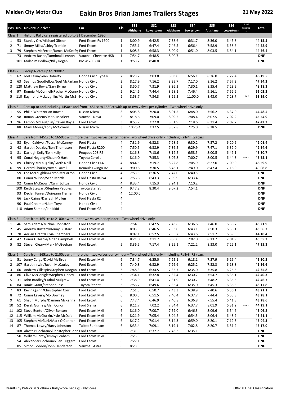|                |                                                                                                                     | Pos No. Driver/Co-driver                                                                                              | Car                                       | <b>CIs</b>     | SS <sub>1</sub><br><b>Altishane</b> | SS <sub>2</sub><br>Lowertown | SS <sub>3</sub><br>Altishane | <b>SS4</b><br>Lowertown | SS <sub>5</sub><br><b>Altishane</b> | SS <sub>6</sub><br>Lowertown | Road<br>Penaltie | Total                    |
|----------------|---------------------------------------------------------------------------------------------------------------------|-----------------------------------------------------------------------------------------------------------------------|-------------------------------------------|----------------|-------------------------------------|------------------------------|------------------------------|-------------------------|-------------------------------------|------------------------------|------------------|--------------------------|
| Class 1        |                                                                                                                     | Historic Rally cars registered up to 31 December 1990                                                                 |                                           |                |                                     |                              |                              |                         |                                     |                              |                  |                          |
| $\mathbf{1}$   | 53                                                                                                                  | Stanley Orr/Michael Gibson                                                                                            | Ford Escort Rs 1600                       | 1              | 8:00.9                              | 6:42.5                       | 7:38.6                       | 6:31.7                  | 8:36.0                              | 6:45.8                       |                  | 44:15.5                  |
| $\overline{2}$ |                                                                                                                     | 71 Jimmy Mills/Ashley Trimble                                                                                         | Ford Escort                               | $\mathbf{1}$   | 7:55.1                              | 6:47.4                       | 7:46.5                       | 6:56.4                  | 7:58.9                              | 6:58.6                       |                  | 44:22.9                  |
| 3              | 79                                                                                                                  | Stephen McFerran/James McKeefry Ford Escort                                                                           |                                           | $\mathbf{1}$   | 8:08.6                              | 6:58.3                       | 8:00.9                       | 6:51.0                  | 8:03.5                              | 6:54.1                       |                  | 44:56.4                  |
|                |                                                                                                                     | 73 Andrew Bushe/Domhnall Lennon                                                                                       | Vauxhall Chevette HSR                     | $\mathbf 1$    | 7:54.7                              | 6:48.5                       | 8:00.7                       |                         |                                     |                              |                  | <b>DNF</b>               |
|                |                                                                                                                     | 101 Malcolm Pedlow/Billy Regan                                                                                        | BMW 2002Tii                               | $\mathbf{1}$   | 9:53.2                              | 8:40.8                       |                              |                         |                                     |                              |                  | <b>DNF</b>               |
| Class 2        |                                                                                                                     | Group N cars up to 2000cc                                                                                             |                                           |                |                                     |                              |                              |                         |                                     |                              |                  |                          |
| $\mathbf{1}$   | 62                                                                                                                  | Joel Eakin/Sean Doherty                                                                                               | Honda Civic Type R                        | $\overline{2}$ | 8:23.2                              | 7:03.8                       | 8:03.0                       | 6:56.1                  | 8:26.0                              | 7:27.4                       |                  | 46:19.5                  |
| $\overline{2}$ |                                                                                                                     | 63 Seamus Goodfellow/Joel McFarlanc Honda Civic                                                                       |                                           | $\overline{2}$ | 8:17.9                              | 7:16.2                       | 8:29.7                       | 7:17.0                  | 8:16.2                              | 7:57.2                       |                  | 47:34.2                  |
| 3              |                                                                                                                     | 120 Matthew Boyle/Gary Byrne                                                                                          | Honda Civic                               | $\overline{2}$ | 8:50.7                              | 7:31.9                       | 8:36.3                       | 7:30.1                  | 8:35.4                              | 7:23.9                       |                  | 48:28.3                  |
| 4              | 97                                                                                                                  | Ronnie McConnell/Rachel McConne Honda Civic                                                                           |                                           | $\mathbf{2}$   | 9:24.6                              | 7:44.4                       | 8:58.1                       | 7:46.4                  | 9:16.1                              | 7:52.6                       |                  | 51:02.2                  |
| 5              |                                                                                                                     | 110 Raymond McLaughlin/Martin McBr Honda Civic                                                                        |                                           | $\overline{2}$ | 8:53.7                              | 7:34.3                       | 8:29.3                       | 11:00.0                 | 8:43.0                              | 7:28.7                       | 1:30.0           | 53:39.0                  |
| Class 3        | Cars up to and including 1450cc and from 1451cc to 1650cc with up to two valves per cylinder - Two wheel drive only |                                                                                                                       |                                           |                |                                     |                              |                              |                         |                                     |                              |                  |                          |
| $\mathbf{1}$   | 55                                                                                                                  | Philip White/Brian Rowan                                                                                              | Nissan Micra                              | 3              | 8:05.8                              | 7:20.0                       | 8:01.5                       | 6:48.0                  | 7:56.2                              | 6:37.0                       |                  | 44:48.5                  |
| $\overline{2}$ | 98                                                                                                                  | Ronan Greene/Mark McAleer                                                                                             | Vauxhall Nova                             | 3              | 8:18.6                              | 7:09.0                       | 8:09.2                       | 7:08.4                  | 8:07.5                              | 7:02.2                       |                  | 45:54.9                  |
| 3              | 96                                                                                                                  | Eamon McLaughlin/Steven Boyle                                                                                         | Ford Escort                               | 3              | 8:55.7                              | 7:27.0                       | 8:31.9                       | 7:18.6                  | 8:21.4                              | 7:07.7                       |                  | 47:42.3                  |
|                | 88                                                                                                                  | Mark Moore/Tony McGovern                                                                                              | Nissan Micra                              | 3              | 10:25.4                             | 7:37.5                       | 8:37.8                       | 7:25.0                  | 8:38.5                              |                              |                  | <b>DNF</b>               |
| Class 4        |                                                                                                                     | Cars from 1451cc to 1650cc with more than two valves per cylinder - Two wheel drive only - Including Rally4 (R2) cars |                                           |                |                                     |                              |                              |                         |                                     |                              |                  |                          |
| $\mathbf{1}$   | 58                                                                                                                  | Ryan Caldwell/Pascal McCarney                                                                                         | Ford Fiesta                               | 4              | 7:31.9                              | 6:32.3                       | 7:28.9                       | 6:30.2                  | 7:37.2                              | 6:20.9                       |                  | 42:01.4                  |
| $\overline{2}$ | 48                                                                                                                  | Gareth Deazley/Ben Thompson                                                                                           | Ford Fiesta R200                          | 4              | 7:50.5                              | 6:38.9                       | 7:36.2                       | 6:29.9                  | 7:47.1                              | 6:32.0                       |                  | 42:54.6                  |
| 3              | 81                                                                                                                  | Darragh Kelly/Eoin Kelly                                                                                              | Peugeot 208 R2                            | 4              | 8:16.8                              | 7:13.6                       | 8:12.2                       | 6:58.5                  | 8:00.5                              | 6:49.1                       |                  | 45:30.7                  |
| 4              | 95                                                                                                                  | Conal Hegarty/Shaun O Hart                                                                                            | Toyota Corolla                            | 4              | 8:16.0                              | 7:35.3                       | 8:07.8                       | 7:00.7                  | 8:00.5                              | 6:44.8                       | 0:10.0           | 45:55.1                  |
| 5              | 89                                                                                                                  | Christy McLaughlin/Garth Neill                                                                                        | Honda Civic EK4                           | 4              | 8:44.5                              | 7:19.7                       | 8:22.8                       | 7:05.9                  | 8:27.0                              | 7:00.0                       |                  | 46:59.9                  |
| 6              | 99                                                                                                                  | Gerard Sharkey/Ryan Farrell                                                                                           | Renault Twingo R2                         | 4              | 9:00.8                              | 7:30.5                       | 8:45.1                       | 7:49.0                  | 8:47.4                              | 7:16.0                       |                  | 49:08.8                  |
|                | 59                                                                                                                  | Lee McLaughlin/Aaron McCarron                                                                                         | Honda Civic                               | 4              | 7:53.5                              | 6:36.5                       | 7:42.0                       | 6:40.5                  |                                     |                              |                  | <b>DNF</b>               |
|                | 80<br>92                                                                                                            | Conor Wilson/Sean Marsh<br>Conor McKeown/Cahir Loftus                                                                 | Ford Fiesta Rally4<br>Honda Civic         | 4<br>4         | 7:56.8<br>8:35.4                    | 6:43.3<br>7:15.3             | 7:39.9<br>8:24.1             | 6:33.4<br>7:10.2        |                                     |                              |                  | <b>DNF</b><br><b>DNF</b> |
|                |                                                                                                                     | 100 Keith Stewart/Stephen Peoples                                                                                     | <b>Toyota Starlet</b>                     | 4              | 9:47.2                              | 8:30.4                       | 9:07.2                       | 7:54.1                  |                                     |                              |                  | <b>DNF</b>               |
|                | 93                                                                                                                  | Declan Farren/Doireann Tiernan                                                                                        | Honda Civic                               | 4              | 12:00.0                             |                              |                              |                         |                                     |                              |                  | <b>DNF</b>               |
|                | 66                                                                                                                  | Jack Cairns/Darragh Mullen                                                                                            | Ford Fiesta R2                            | 4              |                                     |                              |                              |                         |                                     |                              |                  | <b>DNF</b>               |
|                | 90                                                                                                                  | Paul Creamer/Liam Toye                                                                                                | Honda Civic                               | 4              |                                     |                              |                              |                         |                                     |                              |                  | <b>DNF</b>               |
|                |                                                                                                                     | 118 Adam Semple/Ian Kidd                                                                                              | Ford Escort G3                            | 4              |                                     |                              |                              |                         |                                     |                              |                  | <b>DNF</b>               |
| Class 5        |                                                                                                                     | Cars from 1651cc to 2100cc with up to two valves per cylinder - Two wheel drive only                                  |                                           |                |                                     |                              |                              |                         |                                     |                              |                  |                          |
| $\mathbf{1}$   | 46                                                                                                                  | Sam Adams/Michael Johnston                                                                                            | Ford Escort MkII                          | 5              | 7:54.3                              | 6:42.5                       | 7:43.8                       | 6:36.6                  | 7:46.0                              | 6:38.7                       |                  | 43:21.9                  |
| $\overline{2}$ |                                                                                                                     | 45 Andrew Bustard/Kenny Bustard                                                                                       | <b>Ford Escort MkII</b>                   | 5              | 8:05.3                              | 6:46.5                       | 7:53.0                       | 6:43.1                  | 7:50.3                              | 6:38.1                       |                  | 43:56.3                  |
| 3              |                                                                                                                     | 78 Adrian Grant/Olivia Chambers                                                                                       | Ford Escort MkII                          | 5              | 8:07.1                              | 6:52.5                       | 7:55.7                       | 6:43.6                  | 7:51.7                              | 6:39.8                       |                  | 44:10.4                  |
| 4              |                                                                                                                     | 47 Conor Gillespie/Aidan Campbell                                                                                     | Ford Escort MkII                          | 5              | 8:21.0                              | 7:11.7                       | 8:05.0                       | 7:02.0                  | 8:13.7                              | 7:01.9                       |                  | 45:55.3                  |
| 5              |                                                                                                                     | 82 Steven Cleary/Mark McGeehan                                                                                        | Ford Escort                               | 5              | 8:36.5                              | 7:17.4                       | 8:25.1                       | 7:21.2                  | 8:33.0                              | 7:22.1                       |                  | 47:35.3                  |
| Class 6        |                                                                                                                     | Cars from 1651cc to 2100cc with more than two valves per cylinder - Two wheel drive only - Including Rally3 (R3) cars |                                           |                |                                     |                              |                              |                         |                                     |                              |                  |                          |
| $\mathbf{1}$   |                                                                                                                     | 51 Jonny Cargo/David McElroy                                                                                          | Ford Escort MkII                          | 6              | 7:34.7                              | 6:25.0                       | 7:25.1                       | 6:18.1                  | 7:27.9                              | 6:19.4                       |                  | 41:30.2                  |
| $\overline{2}$ |                                                                                                                     | 107 Gareth Irwin/Justin McCauley                                                                                      | Ford Escort                               | 6              | 7:40.8                              | 6:32.9                       | 7:26.6                       | 6:25.2                  | 7:32.3                              | 6:18.8                       |                  | 41:56.6                  |
| 3              | 60                                                                                                                  | Andrew Gillespie/Stephen Doogan                                                                                       | Ford Escort                               | 6              | 7:48.3                              | 6:34.5                       | 7:35.7                       | 6:35.0                  | 7:35.8                              | 6:26.5                       |                  | 42:35.8                  |
| 4              | 86                                                                                                                  | Clive McGonigle/Stephen Tinney                                                                                        | Ford Escort MkII                          | 6              | 7:34.1                              | 6:32.8                       | 7:32.4                       | 6:30.2                  | 7:54.7                              | 6:36.1                       |                  | 42:40.3                  |
| 5              | 31                                                                                                                  | John Bradley/Cathal Mulgrew                                                                                           | Ford Escort MkII                          | 6              | 7:38.9                              | 6:41.4                       | 7:31.9                       | 6:30.7                  | 7:48.2                              | 6:35.6                       |                  | 42:46.7                  |
| 6              | 84                                                                                                                  | Jamie Grant/Stephen Jess                                                                                              | <b>Toyota Starlet</b>                     | 6              | 7:56.2                              | 6:49.6                       | 7:35.4                       | 6:35.0                  | 7:45.3                              | 6:36.3                       |                  | 43:17.8                  |
| 7              | 83                                                                                                                  | Kevin Quinn/Christopher Corr                                                                                          | Ford Escort                               | 6              | 7:51.5                              | 6:50.7                       | 7:43.3                       | 6:38.9                  | 7:40.6                              | 6:36.1                       |                  | 43:21.1                  |
| 8              |                                                                                                                     | 72 Conor Lavery/Mo Downey                                                                                             | Ford Escort MkII                          | 6              | 8:00.3                              | 6:51.5                       | 7:40.4                       | 6:37.7                  | 7:44.4                              | 6:33.8                       |                  | 43:28.1                  |
| 9              | 61                                                                                                                  | Shaun Murphy/Damien McKenna                                                                                           | Ford Escort                               | 6              | 7:47.4                              | 6:46.9                       | 7:40.8                       | 6:36.8                  | 7:55.4                              | 6:41.3                       |                  | 43:28.6                  |
| 10             | 52                                                                                                                  | Derek Gurney/Alan Conor                                                                                               | Ford Sierra                               | 6              | 8:11.7                              | 7:02.2                       | 7:54.4                       | 6:37.7                  | 8:01.9                              | 6:31.2                       | 0:10.0           | 44:29.1                  |
| 11             |                                                                                                                     | 102 Steve Benton/Oliver Benton                                                                                        | Ford Escort MkII                          | 6              | 8:16.0                              | 7:00.7                       | 7:59.0                       | 6:46.3                  | 8:09.6                              | 6:54.6                       |                  | 45:06.2                  |
| 12             |                                                                                                                     | 115 William McClurkin/Kyle McDaid<br>105 Stephen McGurk/Mark O Connor                                                 | Ford Escort MkII                          | 6              | 8:21.9<br>8:17.2                    | 7:05.4<br>7:01.4             | 8:04.2<br>8:14.3             | 6:54.3<br>6:59.0        | 8:06.4<br>8:20.1                    | 6:48.9<br>7:12.3             |                  | 45:21.1<br>46:04.3       |
| 13<br>14       | 87                                                                                                                  | Thomas Lowry/Harry Johnston                                                                                           | Ford Escort MkII<br><b>Talbot Sunbeam</b> | 6<br>6         | 8:33.4                              | 7:09.1                       | 8:19.1                       | 7:02.8                  | 8:20.7                              | 6:51.9                       |                  | 46:17.0                  |
|                |                                                                                                                     | 108 Alastair Cochrane/Christopher John Ford Escort                                                                    |                                           | 6              | 7:31.3                              | 6:37.7                       | 7:43.3                       | 6:35.1                  |                                     |                              |                  | <b>DNF</b>               |
|                | 50                                                                                                                  | William Carey/Jimmy Graham                                                                                            | Ford Escort MkII                          | 6              | 7:25.3                              |                              |                              |                         |                                     |                              |                  | <b>DNF</b>               |
|                | 54                                                                                                                  | Alexander Cochrane/Ben Teggart                                                                                        | Ford Escort                               | 6              | 7:27.1                              |                              |                              |                         |                                     |                              |                  | <b>DNF</b>               |
|                | 85                                                                                                                  | Simon Gordon/John Henderson                                                                                           | Vauxhall Astra                            | 6              | 8:23.5                              |                              |                              |                         |                                     |                              |                  | <b>DNF</b>               |
|                |                                                                                                                     |                                                                                                                       |                                           |                |                                     |                              |                              |                         |                                     |                              |                  |                          |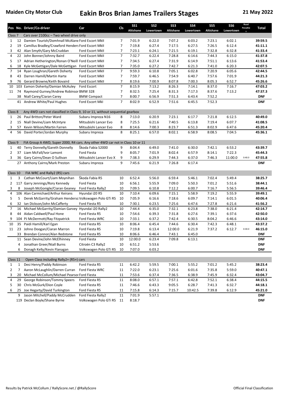|                    |                                                                                          | Pos No. Driver/Co-driver                                                         | Car                     | Cls            | <b>SS1</b>       | SS <sub>2</sub>  | SS <sub>3</sub>  | <b>SS4</b>       | SS <sub>5</sub>  | SS <sub>6</sub>  | Road<br>Penaltie | Total              |
|--------------------|------------------------------------------------------------------------------------------|----------------------------------------------------------------------------------|-------------------------|----------------|------------------|------------------|------------------|------------------|------------------|------------------|------------------|--------------------|
|                    |                                                                                          |                                                                                  |                         |                | <b>Altishane</b> | Lowertown        | Altishane        | Lowertown        | <b>Altishane</b> | Lowertown        |                  |                    |
| Class <sub>7</sub> |                                                                                          | Cars over 2100cc - Two wheel drive only                                          |                         |                |                  |                  |                  |                  |                  |                  |                  |                    |
| $\mathbf{1}$       | 12                                                                                       | Damien Tourish/Domhnall McAlane Ford Escort MkII                                 |                         | 7              | 7:01.9           | 6:22.0           | 7:07.2           | 6:03.2           | 7:23.1           | 6:02.1           |                  | 39:59.5            |
| $\overline{2}$     | 19                                                                                       | Camillus Bradley/Crawford Henders Ford Escort MkII                               |                         | 7              | 7:19.8           | 6:27.4           | 7:17.5           | 6:27.5           | 7:26.5           | 6:12.4           |                  | 41:11.1            |
| 3                  | 42                                                                                       | Alan Smyth/Gary McCruddan                                                        | Ford Escort MkII        | 7              | 7:23.1           | 6:24.1           | 7:21.5           | 6:19.1           | 7:32.8           | 6:32.8           |                  | 41:33.4            |
| 4                  | 22                                                                                       | John Bonner/Johnny Baird                                                         | Ford Escort MkII        | $\overline{7}$ | 7:32.7           | 6:22.4           | 7:28.8           | 6:14.6           | 7:44.3           | 6:15.0           |                  | 41:37.8            |
| 5                  | 17                                                                                       | Adrian Hetherington/Ronan O'Neill Ford Escort MkII                               |                         | 7              | 7:34.5           | 6:27.4           | 7:31.9           | 6:14.9           | 7:51.1           | 6:13.6           |                  | 41:53.4            |
| 6<br>7             | 18<br>14                                                                                 | Kyle McGettigan/Dale McGettigan Ford Escort MkII<br>Ryan Loughran/Gareth Doherty | Ford Escort MkII        | 7<br>7         | 7:35.0<br>9:59.3 | 6:27.2<br>6:10.8 | 7:42.7<br>7:05.1 | 6:21.3<br>6:02.8 | 7:41.0<br>7:20.9 | 6:20.3<br>6:05.6 |                  | 42:07.5<br>42:44.5 |
| 8                  | 43                                                                                       | Darren Hamill/Martin Harte                                                       | Ford Escort MkII        | 7              | 7:59.7           | 6:46.5           | 7:54.9           | 6:40.7           | 7:57.6           | 7:01.9           |                  | 44:21.3            |
| 9                  | 76                                                                                       | Gerard Browne/Keith Bovaird                                                      | Ford Escort MkII        | $\overline{7}$ | 8:19.6           | 7:00.9           | 8:07.8           | 7:00.3           | 8:05.3           | 6:52.7           |                  | 45:26.6            |
| 10                 | 103                                                                                      | Eamon Doherty/Damian McAuley                                                     | Ford Escort             | $\overline{7}$ | 8:15.9           | 7:13.2           | 8:26.3           | 7:14.1           | 8:37.0           | 7:16.7           |                  | 47:03.2            |
| 11                 | 74                                                                                       | Raymond Gurney/Andrew Robinsor BMW 328                                           |                         | 7              | 8:32.5           | 7:25.4           | 8:31.3           | 7:17.3           | 8:37.6           | 7:13.2           |                  | 47:37.3            |
|                    | 38                                                                                       | Niall Carey/Ciaran Carey                                                         | <b>BMW Compact</b>      | 7              | 8:00.7           | 6:56.9           | 7:51.3           | 6:43.4           | 7:52.2           |                  |                  | <b>DNF</b>         |
|                    | 41                                                                                       | Andrew White/Paul Hughes                                                         | Ford Escort MkI         | $\overline{7}$ | 8:02.9           | 6:52.9           | 7:51.6           | 6:45.5           | 7:52.3           |                  |                  | <b>DNF</b>         |
|                    |                                                                                          |                                                                                  |                         |                |                  |                  |                  |                  |                  |                  |                  |                    |
| Class 8            | Any 4WD cars not classified in Class 9, 10 or 11, without sequential gearbox             |                                                                                  |                         |                |                  |                  |                  |                  |                  |                  |                  |                    |
| $\mathbf{1}$       | 26                                                                                       | Paul Britton/Peter Ward                                                          | Subaru Impreza N16      | 8              | 7:13.0           | 6:20.9           | 7:23.1           | 6:17.7           | 7:21.8           | 6:12.5           |                  | 40:49.0            |
| $\overline{2}$     | 15                                                                                       | Niall Devine/Liam McIntyre                                                       | Mitsubishi Lancer Evo   | 8              | 7:25.5           | 6:21.6           | 7:40.5           | 6:13.8           | 7:19.4           | 6:07.7           |                  | 41:08.5            |
| 3                  | 57                                                                                       | Kevin Wilson/Martin Farren                                                       | Mitsubishi Lancer Evo   | 8              | 8:14.6           | 7:00.3           | 8:23.7           | 6:51.3           | 8:02.9           | 6:47.6           |                  | 45:20.4            |
| 4                  | 56                                                                                       | David Porter/Jordan Murphy                                                       | Subaru Impreza          | 8              | 8:25.1           | 6:57.0           | 8:02.1           | 6:58.9           | 8:08.5           | 7:04.5           |                  | 45:36.1            |
|                    |                                                                                          |                                                                                  |                         |                |                  |                  |                  |                  |                  |                  |                  |                    |
|                    | FIA Group A 4WD, Super 2000, R4 cars. Any other 4WD car not in Class 10 or 11<br>Class 9 |                                                                                  |                         |                |                  |                  |                  |                  |                  |                  |                  |                    |
| $\mathbf{1}$       | 40                                                                                       | Terry Donnelly/Gareth Donnelly                                                   | Škoda Fabia S2000       | 9              | 8:04.4           | 6:49.0           | 7:41.0           | 6:30.0           | 7:42.1           | 6:53.2           |                  | 43:39.7            |
| $\overline{2}$     | 37                                                                                       | Liam McFall/Ivor Lamont                                                          | <b>Ford Fiesta</b>      | 9              | 8:05.7           | 7:01.9           | 8:02.4           | 6:57.9           | 8:14.1           | 7:22.3           |                  | 45:44.3            |
| 3                  | 36                                                                                       | Gary Cairns/Dean O Sullivan                                                      | Mitsubishi Lancer Evo X | 9              | 7:38.3           | 6:29.9           | 7:44.3           | 6:37.0           | 7:46.3           | 11:00.0          | 0:40.0           | 47:55.8            |
|                    | 27                                                                                       | Anthony Cairns/Mark Preston                                                      | Subaru Impreza          | 9              | 7:45.6           | 6:21.9           | 7:26.8           | 6:17.4           |                  |                  |                  | <b>DNF</b>         |
|                    |                                                                                          |                                                                                  |                         |                |                  |                  |                  |                  |                  |                  |                  |                    |
| Class 10           |                                                                                          | FIA WRC and Rally2 (R5) cars                                                     |                         |                |                  |                  |                  |                  |                  |                  |                  |                    |
| $\mathbf{1}$       | 3                                                                                        | Cathan McCourt/Liam Moynihan                                                     | Škoda Fabia R5          | 10             | 6:52.4           | 5:56.0           | 6:59.4           | 5:46.1           | 7:02.4           | 5:49.4           |                  | 38:25.7            |
| $\overline{2}$     |                                                                                          | 117 Garry Jennings/Rory Kennedy                                                  | Ford Fiesta             | 10             | 6:56.1           | 5:55.9           | 7:09.0           | 5:50.3           | 7:01.2           | 5:51.6           |                  | 38:44.1            |
| 3                  | 8                                                                                        | Joseph McGonigle/Ciaran Geaney                                                   | Ford Fiesta Rally2      | 10             | 7:09.5           | 6:10.8           | 7:12.2           | 6:00.7           | 7:16.7           | 5:56.5           |                  | 39:46.4            |
| 4                  |                                                                                          | 106 Alan Carmichael/Arthur Keirans                                               | Hyundai i20 R5          | 10             | 7:10.4           | 6:09.6           | 7:15.1           | 5:58.9           | 7:19.2           | 5:55.9           |                  | 39:49.1            |
| 5                  | 5                                                                                        | Derek McGarrity/Graham Hendersc Volkswagen Polo GTi R5                           |                         | 10             | 7:05.9           | 6:16.6           | 7:18.6           | 6:09.7           | 7:14.1           | 6:01.5           |                  | 40:06.4            |
| 6                  | 32                                                                                       | Ian Dickson/John McCafferty                                                      | Ford Fiesta R5          | 10             | 7:30.1           | 6:23.5           | 7:25.6           | 6:47.6           | 7:27.8           | 6:21.6           |                  | 41:56.2            |
| 7                  | 16                                                                                       | Michael McGarrity/Damian Garvey Hyundai i20 Rally2                               |                         | 10             | 7:44.4           | 6:35.0           | 7:32.1           | 6:23.8           | 7:38.0           | 6:21.4           |                  | 42:14.7            |
| 8                  | 44                                                                                       | Aidan Caldwell/Paul Hone                                                         | Ford Fiesta R5          | 10             | 7:54.6           | 6:39.3           | 7:31.8           | 6:27.6           | 7:39.1           | 6:37.6           |                  | 42:50.0            |
| 9                  |                                                                                          | 104 PJ McDermott/Ray Fitzpatrick                                                 | Ford Fiesta WRC         | 10             | 7:33.1           | 6:37.2           | 7:42.4           | 6:30.5           | 8:04.2           | 6:46.6           |                  | 43:14.0            |
| 10                 | 35                                                                                       | Paidi Hamill/Karl Egan                                                           | Ford Fiesta R5          | 10             | 8:06.4           | 6:45.4           | 7:44.6           | 6:30.4           | 7:42.3           | 6:48.1           |                  | 43:37.2            |
| 11                 |                                                                                          | 23 Johno Doogan/Ciaran Marron                                                    | Ford Fiesta R5          | 10             | 7:19.8           | 6:13.4           | 12:00.0          | 6:21.9           | 7:37.2           | 6:12.7           | 0:30.0           | 46:15.0            |
|                    |                                                                                          | 33 Brendan Connor/Alan Redstone                                                  | Ford Fiesta R5          | 10             | 8:06.6           | 6:46.4           | 7:43.1           | 6:45.0           |                  |                  |                  | <b>DNF</b>         |
|                    | 11                                                                                       | Sean Devine/John McElhinney                                                      | Ford Fiesta             | 10             | 12:00.0          | 6:23.4           | 7:09.8           | 6:13.1           |                  |                  |                  | <b>DNF</b>         |
|                    | 4                                                                                        | Jonathan Greer/Niall Burns                                                       | Citroën C3 Rally2       | 10             | 6:51.2           | 5:53.6           |                  |                  |                  |                  |                  | <b>DNF</b>         |
|                    | 6                                                                                        | Donagh Kelly/Kevin Flanagan                                                      | Volkswagen Polo GTi R5  | 10             | 7:07.0           | 6:03.2           |                  |                  |                  |                  |                  | <b>DNF</b>         |
|                    |                                                                                          |                                                                                  |                         |                |                  |                  |                  |                  |                  |                  |                  |                    |
| Class 11           |                                                                                          | Open Class including Rally2+ (R5+) cars                                          |                         |                |                  |                  |                  |                  |                  |                  |                  |                    |
| $\mathbf{1}$       | 1                                                                                        | Desi Henry/Paddy Robinson                                                        | Ford Fiesta R5          | 11             | 6:42.2           | 5:59.5           | 7:00.1           | 5:55.2           | 7:01.2           | 5:45.2           |                  | 38:23.4            |
| $\overline{2}$     | 7                                                                                        | Aaron McLaughlin/Darren Curran                                                   | Ford Fiesta WRC         | 11             | 7:22.0           | 6:23.1           | 7:25.6           | 6:01.6           | 7:35.8           | 5:59.0           |                  | 40:47.1            |
| 3                  | 20                                                                                       | Michael McCollum/Michael Pearsor Ford Fiesta                                     |                         | 11             | 7:53.6           | 6:37.4           | 7:36.5           | 6:38.9           | 7:45.9           | 6:32.4           |                  | 43:04.7            |
| 4                  | 29                                                                                       | George Robinson/Tommy Speers                                                     | Ford Fiesta R5          | 11             | 8:08.0           | 6:57.1           | 7:57.1           | 6:42.8           | 7:52.1           | 6:38.4           |                  | 44:15.5            |
| 5                  | 30                                                                                       | Chris McGurk/Dion Coyle                                                          | Ford Fiesta R5          | 11             | 7:46.6           | 6:43.3           | 9:05.5           | 6:28.7           | 7:41.3           | 6:32.7           |                  | 44:18.1            |
| 6                  | 25                                                                                       | Joe Hegarty/David Turkington                                                     | Ford Fiesta R5          | 11             | 7:15.8           | 6:14.3           | 7:15.7           | 10:42.5          | 7:39.8           | 6:12.9           |                  | 45:21.0            |
|                    | 9                                                                                        | Jason Mitchell/Paddy McCrudden                                                   | Ford Fiesta Rally2      | 11             | 7:01.9           | 5:57.1           |                  |                  |                  |                  |                  | <b>DNF</b>         |
|                    |                                                                                          | 119 Declan Boyle/Shane Byrne                                                     | Volkswagen Polo GTi R5  | 11             | 8:18.7           |                  |                  |                  |                  |                  |                  | <b>DNF</b>         |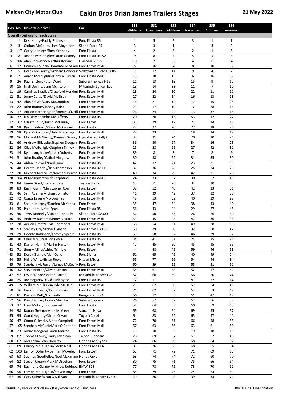|          |          | Pos No. Driver/Co-driver                                                                             | Car                                   | <b>SS1</b><br><b>Altishane</b> | SS <sub>2</sub><br>Lowertown | SS <sub>3</sub><br>Altishane | <b>SS4</b><br>Lowertown | SS <sub>5</sub><br>Altishane | SS <sub>6</sub><br>Lowertown |  |
|----------|----------|------------------------------------------------------------------------------------------------------|---------------------------------------|--------------------------------|------------------------------|------------------------------|-------------------------|------------------------------|------------------------------|--|
|          |          | <b>Overall Positions for each Stage</b>                                                              |                                       |                                |                              |                              |                         |                              |                              |  |
| 1        | 1        | Desi Henry/Paddy Robinson                                                                            | Ford Fiesta R5                        | 1                              | 5                            | 2                            | 3                       | 1                            | $\mathbf{1}$                 |  |
| 2        | 3        | Cathan McCourt/Liam Moynihan                                                                         | Škoda Fabia R5                        | 3                              | 3                            | $\mathbf 1$                  | $\mathbf{1}$            | 3                            | 2                            |  |
| 3        |          | 117 Garry Jennings/Rory Kennedy                                                                      | Ford Fiesta                           | 4                              | 2                            | 5                            | 2                       | 1                            | 3                            |  |
| 4        | 8        | Joseph McGonigle/Ciaran Geaney                                                                       | Ford Fiesta Rally2                    | 9                              | 8                            | $\overline{7}$               | 5                       | 5                            | 5                            |  |
| 5        |          | 106 Alan Carmichael/Arthur Keirans                                                                   | Hyundai i20 R5                        | 10                             | 7                            | 8                            | 4                       | 6                            | 4                            |  |
| 6        | 12       | Damien Tourish/Domhnall McAlane Ford Escort MkII                                                     |                                       | 5                              | 16                           | 4                            | 8                       | 10                           | 8                            |  |
| 7        | 5<br>7   | Derek McGarrity/Graham Hendersc Volkswagen Polo GTi R5                                               |                                       | $\overline{7}$                 | 12                           | 11                           | 9<br>6                  | 4                            | 7<br>6                       |  |
| 8<br>9   | 26       | Aaron McLaughlin/Darren Curran<br>Paul Britton/Peter Ward                                            | Ford Fiesta WRC<br>Subaru Impreza N16 | 15<br>11                       | 18<br>13                     | 15<br>13                     | 15                      | 16<br>9                      | 12                           |  |
| 10       | 15       | Niall Devine/Liam McIntyre                                                                           | Mitsubishi Lancer Evo                 | 18                             | 14                           | 33                           | 11                      | $\overline{7}$               | 10                           |  |
| 11       | 19       | Camillus Bradley/Crawford Henders Ford Escort MkII                                                   |                                       | 13                             | 24                           | 10                           | 22                      | 11                           | 11                           |  |
| 12       | 51       | Jonny Cargo/David McElroy                                                                            | Ford Escort MkII                      | 27                             | 22                           | 14                           | 16                      | 13                           | 18                           |  |
| 13       |          | 42 Alan Smyth/Gary McCruddan                                                                         | Ford Escort MkII                      | 16                             | 21                           | 12                           | 17                      | 15                           | 28                           |  |
| 14       | 22       | John Bonner/Johnny Baird                                                                             | Ford Escort MkII                      | 23                             | 17                           | 19                           | 12                      | 28                           | 16                           |  |
| 15       | 17       | Adrian Hetherington/Ronan O'Neill Ford Escort MkII                                                   |                                       | 26                             | 24                           | 22                           | 13                      | 37                           | 15                           |  |
| 16       |          | 32 Ian Dickson/John McCafferty                                                                       | Ford Fiesta R5                        | 20                             | 20                           | 15                           | 53                      | 12                           | 22                           |  |
| 17       |          | 107 Gareth Irwin/Justin McCauley                                                                     | <b>Ford Escort</b>                    | 31                             | 29                           | 17                           | 21                      | 14                           | 17                           |  |
| 18       | 58       | Ryan Caldwell/Pascal McCarney                                                                        | Ford Fiesta                           | 22                             | 27                           | 20                           | 27                      | 18                           | 20                           |  |
| 19       | 18       | Kyle McGettigan/Dale McGettigan                                                                      | Ford Escort MkII                      | 28                             | 23                           | 38                           | 18                      | 24                           | 19                           |  |
| 20<br>21 | 60       | 16 Michael McGarrity/Damian Garvey Hyundai i20 Rally2<br>Andrew Gillespie/Stephen Doogan Ford Escort |                                       | 32<br>36                       | 31<br>30                     | 24<br>27                     | 20<br>34                | 20<br>16                     | 21<br>23                     |  |
| 22       | 86       | Clive McGonigle/Stephen Tinney                                                                       | Ford Escort MkII                      | 25                             | 28                           | 25                           | 27                      | 42                           | 31                           |  |
| 23       | 14       | Ryan Loughran/Gareth Doherty                                                                         | Ford Escort MkII                      | 89                             | 8                            | 3                            | $\overline{7}$          | 8                            | 9                            |  |
| 24       | 31       | John Bradley/Cathal Mulgrew                                                                          | Ford Escort MkII                      | 30                             | 38                           | 22                           | 31                      | 35                           | 30                           |  |
| 25       | 44       | Aidan Caldwell/Paul Hone                                                                             | Ford Fiesta R5                        | 42                             | 37                           | 21                           | 23                      | 21                           | 35                           |  |
| 26       | 48       | Gareth Deazley/Ben Thompson                                                                          | Ford Fiesta R200                      | 37                             | 36                           | 28                           | 25                      | 34                           | 25                           |  |
| 27       | 20       | Michael McCollum/Michael Pearsor Ford Fiesta                                                         |                                       | 40                             | 34                           | 29                           | 42                      | 31                           | 26                           |  |
| 28       |          | 104 PJ McDermott/Ray Fitzpatrick                                                                     | Ford Fiesta WRC                       | 24                             | 33                           | 37                           | 30                      | 52                           | 43                           |  |
| 29       | 84       | Jamie Grant/Stephen Jess                                                                             | <b>Toyota Starlet</b>                 | 45                             | 51                           | 26                           | 34                      | 30                           | 33                           |  |
| 30       | 83       | Kevin Quinn/Christopher Corr                                                                         | Ford Escort                           | 38                             | 52                           | 40                           | 42                      | 23                           | 31                           |  |
| 31       | 46       | Sam Adams/Michael Johnston                                                                           | Ford Escort MkII                      | 41                             | 39                           | 42                           | 37                      | 32                           | 38                           |  |
| 32       | 72       | Conor Lavery/Mo Downey                                                                               | Ford Escort MkII                      | 48                             | 53                           | 32                           | 40                      | 29                           | 29                           |  |
| 33       | 61       | Shaun Murphy/Damien McKenna                                                                          | Ford Escort                           | 35                             | 47                           | 34                           | 38                      | 43                           | 40                           |  |
| 34       |          | 35 Paidi Hamill/Karl Egan                                                                            | Ford Fiesta R5                        | 56                             | 43                           | 44                           | 29                      | 27                           | 45                           |  |
| 35       | 40       | Terry Donnelly/Gareth Donnelly                                                                       | Škoda Fabia S2000                     | 52                             | 50                           | 35                           | 26                      | 26                           | 50                           |  |
| 36<br>37 | 78       | 45 Andrew Bustard/Kenny Bustard<br>Adrian Grant/Olivia Chambers                                      | Ford Escort MkII<br>Ford Escort MkII  | 53<br>58                       | 45<br>54                     | 48<br>51                     | 47<br>49                | 36<br>38                     | 36<br>39                     |  |
| 38       |          | 53 Stanley Orr/Michael Gibson                                                                        | Ford Escort Rs 1600                   | 50                             | 39                           | 30                           | 32                      | 68                           | 42                           |  |
| 39       |          | 29 George Robinson/Tommy Speers                                                                      | Ford Fiesta R5                        | 59                             | 58                           | 52                           | 46                      | 39                           | 37                           |  |
| 40       | 30       | Chris McGurk/Dion Coyle                                                                              | Ford Fiesta R5                        | 34                             | 41                           | 81                           | 24                      | 25                           | 27                           |  |
| 41       | 43       | Darren Hamill/Martin Harte                                                                           | Ford Escort MkII                      | 47                             | 45                           | 50                           | 45                      | 45                           | 55                           |  |
| 42       | 71       | Jimmy Mills/Ashley Trimble                                                                           | Ford Escort                           | 44                             | 48                           | 45                           | 59                      | 46                           | 53                           |  |
| 43       |          | 52 Derek Gurney/Alan Conor                                                                           | Ford Sierra                           | 61                             | 65                           | 49                           | 40                      | 49                           | 24                           |  |
| 44       | 55       | Philip White/Brian Rowan                                                                             | Nissan Micra                          | 55                             | 77                           | 56                           | 54                      | 44                           | 34                           |  |
| 45       | 79       | Stephen McFerran/James McKeefry Ford Escort                                                          |                                       | 60                             | 59                           | 55                           | 55                      | 51                           | 51                           |  |
| 46       |          | 102 Steve Benton/Oliver Benton                                                                       | Ford Escort MkII                      | 64                             | 61                           | 53                           | 52                      | 57                           | 52                           |  |
| 47       | 57       | Kevin Wilson/Martin Farren                                                                           | Mitsubishi Lancer Evo                 | 62                             | 60                           | 69                           | 56                      | 50                           | 44                           |  |
| 48       | 25       | Joe Hegarty/David Turkington                                                                         | Ford Fiesta R5                        | 12                             | 11                           | 9                            | 81                      | 22                           | 14                           |  |
| 49       |          | 115 William McClurkin/Kyle McDaid                                                                    | Ford Escort MkII                      | 73                             | 67                           | 60                           | 57                      | 54                           | 46                           |  |
| 50       | 76<br>81 | Gerard Browne/Keith Bovaird                                                                          | Ford Escort MkII                      | 71                             | 62                           | 62                           | 64                      | 53                           | 49                           |  |
| 51<br>52 | 56       | Darragh Kelly/Eoin Kelly<br>David Porter/Jordan Murphy                                               | Peugeot 208 R2<br>Subaru Impreza      | 66<br>76                       | 72<br>57                     | 65<br>57                     | 61<br>62                | 47<br>56                     | 47<br>58                     |  |
| 53       | 37       | Liam McFall/Ivor Lamont                                                                              | Ford Fiesta                           | 54                             | 64                           | 58                           | 60                      | 59                           | 65                           |  |
| 54       | 98       | Ronan Greene/Mark McAleer                                                                            | Vauxhall Nova                         | 69                             | 68                           | 64                           | 69                      | 55                           | 57                           |  |
| 55       | 95       | Conal Hegarty/Shaun O Hart                                                                           | Toyota Corolla                        | 64                             | 83                           | 62                           | 65                      | 47                           | 41                           |  |
| 56       | 47       | Conor Gillespie/Aidan Campbell                                                                       | Ford Escort MkII                      | 72                             | 70                           | 61                           | 66                      | 58                           | 55                           |  |
| 57       |          | 105 Stephen McGurk/Mark O Connor                                                                     | Ford Escort MkII                      | 67                             | 63                           | 66                           | 63                      | 61                           | 60                           |  |
| 58       | 23       | Johno Doogan/Ciaran Marron                                                                           | Ford Fiesta R5                        | 13                             | $10\,$                       | 83                           | 19                      | 18                           | 13                           |  |
| 59       | 87       | Thomas Lowry/Harry Johnston                                                                          | <b>Talbot Sunbeam</b>                 | 78                             | 69                           | 67                           | 67                      | 62                           | 48                           |  |
| 60       | 62       | Joel Eakin/Sean Doherty                                                                              | Honda Civic Type R                    | 74                             | 66                           | 59                           | 58                      | 64                           | 67                           |  |
| 61       | 89       | Christy McLaughlin/Garth Neill                                                                       | Honda Civic EK4                       | 81                             | 76                           | 68                           | 68                      | 65                           | 54                           |  |
| 62       | 103      | Eamon Doherty/Damian McAuley                                                                         | Ford Escort                           | 63                             | 71                           | 72                           | 71                      | 69                           | 63                           |  |
| 63       | 63       | Seamus Goodfellow/Joel McFarlanc Honda Civic                                                         |                                       | 68                             | 74                           | 74                           | 72                      | 60                           | 70                           |  |
| 64       | 82       | Steven Cleary/Mark McGeehan<br>Raymond Gurney/Andrew Robinsor BMW 328                                | Ford Escort                           | 80                             | 75                           | 71                           | 75                      | 66                           | 64                           |  |
| 65<br>66 | 74<br>96 | Eamon McLaughlin/Steven Boyle                                                                        | Ford Escort                           | 77<br>84                       | 78<br>79                     | 75<br>76                     | 73<br>74                | 70<br>63                     | 61<br>59                     |  |
| 67       |          | 36 Gary Cairns/Dean O Sullivan                                                                       | Mitsubishi Lancer Evo X               | 29                             | 26                           | 43                           | 39                      | 33                           | 71                           |  |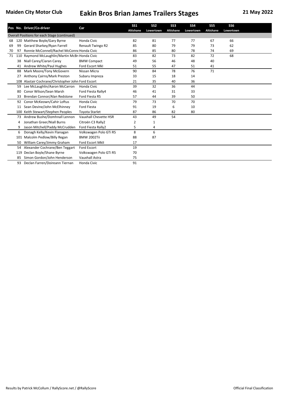|    |     | Pos No. Driver/Co-driver                           | Car                    | <b>SS1</b><br>Altishane | SS <sub>2</sub><br>Lowertown | SS <sub>3</sub><br>Altishane | <b>SS4</b><br>Lowertown | SS <sub>5</sub><br><b>Altishane</b> | SS <sub>6</sub><br>Lowertown |  |
|----|-----|----------------------------------------------------|------------------------|-------------------------|------------------------------|------------------------------|-------------------------|-------------------------------------|------------------------------|--|
|    |     | Overall Positions for each Stage (continued)       |                        |                         |                              |                              |                         |                                     |                              |  |
| 68 |     | 120 Matthew Boyle/Gary Byrne                       | Honda Civic            | 82                      | 81                           | 77                           | 77                      | 67                                  | 66                           |  |
| 69 | 99  | Gerard Sharkey/Ryan Farrell                        | Renault Twingo R2      | 85                      | 80                           | 79                           | 79                      | 73                                  | 62                           |  |
| 70 | 97  | Ronnie McConnell/Rachel McConne Honda Civic        |                        | 86                      | 85                           | 80                           | 78                      | 74                                  | 69                           |  |
| 71 |     | 110 Raymond McLaughlin/Martin McBr Honda Civic     |                        | 83                      | 82                           | 73                           | 82                      | 72                                  | 68                           |  |
|    | 38  | Niall Carey/Ciaran Carey                           | <b>BMW Compact</b>     | 49                      | 56                           | 46                           | 48                      | 40                                  |                              |  |
|    |     | 41 Andrew White/Paul Hughes                        | Ford Escort MkI        | 51                      | 55                           | 47                           | 51                      | 41                                  |                              |  |
|    | 88  | Mark Moore/Tony McGovern                           | Nissan Micra           | 90                      | 84                           | 78                           | 76                      | 71                                  |                              |  |
|    | 27  | Anthony Cairns/Mark Preston                        | Subaru Impreza         | 33                      | 15                           | 18                           | 14                      |                                     |                              |  |
|    |     | 108 Alastair Cochrane/Christopher John Ford Escort |                        | 21                      | 35                           | 40                           | 36                      |                                     |                              |  |
|    | 59  | Lee McLaughlin/Aaron McCarron                      | Honda Civic            | 39                      | 32                           | 36                           | 44                      |                                     |                              |  |
|    | 80  | Conor Wilson/Sean Marsh                            | Ford Fiesta Rally4     | 46                      | 41                           | 31                           | 33                      |                                     |                              |  |
|    | 33  | Brendan Connor/Alan Redstone                       | Ford Fiesta R5         | 57                      | 44                           | 39                           | 50                      |                                     |                              |  |
|    | 92  | Conor McKeown/Cahir Loftus                         | Honda Civic            | 79                      | 73                           | 70                           | 70                      |                                     |                              |  |
|    | 11  | Sean Devine/John McElhinney                        | <b>Ford Fiesta</b>     | 91                      | 19                           | 6                            | 10                      |                                     |                              |  |
|    |     | 100 Keith Stewart/Stephen Peoples                  | <b>Toyota Starlet</b>  | 87                      | 86                           | 82                           | 80                      |                                     |                              |  |
|    | 73  | Andrew Bushe/Domhnall Lennon                       | Vauxhall Chevette HSR  | 43                      | 49                           | 54                           |                         |                                     |                              |  |
|    | 4   | Jonathan Greer/Niall Burns                         | Citroën C3 Rally2      | 2                       | $\mathbf{1}$                 |                              |                         |                                     |                              |  |
|    | 9   | Jason Mitchell/Paddy McCrudden                     | Ford Fiesta Rally2     | 5                       | 4                            |                              |                         |                                     |                              |  |
|    | 6   | Donagh Kelly/Kevin Flanagan                        | Volkswagen Polo GTi R5 | 8                       | 6                            |                              |                         |                                     |                              |  |
|    | 101 | Malcolm Pedlow/Billy Regan                         | <b>BMW 2002Tii</b>     | 88                      | 87                           |                              |                         |                                     |                              |  |
|    | 50  | William Carey/Jimmy Graham                         | Ford Escort MkII       | 17                      |                              |                              |                         |                                     |                              |  |
|    | 54  | Alexander Cochrane/Ben Teggart                     | Ford Escort            | 19                      |                              |                              |                         |                                     |                              |  |
|    | 119 | Declan Boyle/Shane Byrne                           | Volkswagen Polo GTi R5 | 70                      |                              |                              |                         |                                     |                              |  |
|    | 85  | Simon Gordon/John Henderson                        | <b>Vauxhall Astra</b>  | 75                      |                              |                              |                         |                                     |                              |  |
|    | 93  | Declan Farren/Doireann Tiernan                     | Honda Civic            | 91                      |                              |                              |                         |                                     |                              |  |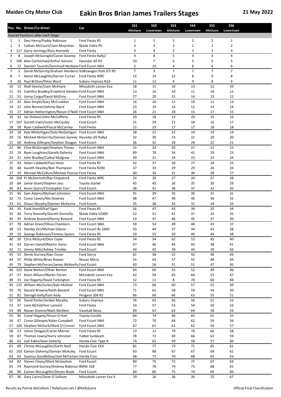|          |          | Pos No. Driver/Co-driver                                           | Car                                  | <b>SS1</b><br><b>Altishane</b> | SS <sub>2</sub><br>Lowertown | SS <sub>3</sub><br>Altishane | <b>SS4</b><br>Lowertown | SS <sub>5</sub><br>Altishane | SS <sub>6</sub><br>Lowertown |  |
|----------|----------|--------------------------------------------------------------------|--------------------------------------|--------------------------------|------------------------------|------------------------------|-------------------------|------------------------------|------------------------------|--|
|          |          | Overall Positions after each Stage                                 |                                      |                                |                              |                              |                         |                              |                              |  |
| 1        | 1        | Desi Henry/Paddy Robinson                                          | Ford Fiesta R5                       | 1                              | 1                            | $\mathbf{1}$                 | 2                       | 2                            | $\mathbf{1}$                 |  |
| 2        | 3        | Cathan McCourt/Liam Moynihan                                       | Škoda Fabia R5                       | 3                              | 3                            | $\overline{2}$               | $\mathbf{1}$            | $\mathbf{1}$                 | $\overline{2}$               |  |
| 3        |          | 117 Garry Jennings/Rory Kennedy                                    | Ford Fiesta                          | 4                              | 4                            | 3                            | 3                       | 3                            | 3                            |  |
| 4        | 8        | Joseph McGonigle/Ciaran Geaney                                     | Ford Fiesta Rally2                   | 9                              | 8                            | 5                            | $\overline{\mathbf{4}}$ | 4                            | 4                            |  |
| 5        |          | 106 Alan Carmichael/Arthur Keirans                                 | Hyundai i20 R5                       | 10                             | $\overline{7}$               | 6                            | 5                       | 5                            | 5                            |  |
| 6        | 12       | Damien Tourish/Domhnall McAlane Ford Escort MkII                   |                                      | 5                              | 10                           | 4                            | 6                       | 6                            | 6                            |  |
| 7        | 5        | Derek McGarrity/Graham Hendersc Volkswagen Polo GTi R5             |                                      | 7                              | 9                            | $\overline{7}$               | $\overline{7}$          | $\overline{7}$               | 7                            |  |
| 8        | 7        | Aaron McLaughlin/Darren Curran                                     | Ford Fiesta WRC                      | 15                             | 14                           | 12                           | 8                       | 9                            | 8                            |  |
| 9        | 26       | Paul Britton/Peter Ward                                            | Subaru Impreza N16                   | 11                             | 13                           | 9                            | 9                       | 8                            | 9                            |  |
| 10       | 15       | Niall Devine/Liam McIntyre                                         | Mitsubishi Lancer Evo                | 18                             | 15                           | 16                           | 13                      | 12                           | 10                           |  |
| 11       | 19       | Camillus Bradley/Crawford Henders Ford Escort MkII                 |                                      | 13                             | 16                           | 10                           | 11                      | 10                           | 11                           |  |
| 12       | 51<br>42 | Jonny Cargo/David McElroy<br>Alan Smyth/Gary McCruddan             | Ford Escort MkII<br>Ford Escort MkII | 27<br>16                       | 20<br>16                     | 15<br>11                     | 14<br>10                | 13<br>11                     | 12<br>13                     |  |
| 13<br>14 | 22       | John Bonner/Johnny Baird                                           | Ford Escort MkII                     | 23                             | 19                           | 14                           | 12                      | 14                           | 14                           |  |
| 15       |          | 17 Adrian Hetherington/Ronan O'Neill Ford Escort MkII              |                                      | 26                             | 21                           | 18                           | 15                      | 17                           | 15                           |  |
| 16       | 32       | Ian Dickson/John McCafferty                                        | Ford Fiesta R5                       | 20                             | 18                           | 13                           | 20                      | 15                           | 16                           |  |
| 17       |          | 107 Gareth Irwin/Justin McCauley                                   | Ford Escort                          | 31                             | 29                           | 21                           | 18                      | 16                           | 17                           |  |
| 18       | 58       | Ryan Caldwell/Pascal McCarney                                      | Ford Fiesta                          | 22                             | 23                           | 17                           | 17                      | 18                           | 18                           |  |
| 19       | 18       | Kyle McGettigan/Dale McGettigan                                    | Ford Escort MkII                     | 28                             | 22                           | 22                           | 19                      | 19                           | 19                           |  |
| 20       | 16       | Michael McGarrity/Damian Garvey Hyundai i20 Rally2                 |                                      | 32                             | 30                           | 23                           | 22                      | 20                           | 20                           |  |
| 21       | 60       | Andrew Gillespie/Stephen Doogan Ford Escort                        |                                      | 36                             | 32                           | 28                           | 28                      | 22                           | 21                           |  |
| 22       | 86       | Clive McGonigle/Stephen Tinney                                     | <b>Ford Escort MkII</b>              | 25                             | 24                           | 20                           | 21                      | 21                           | 22                           |  |
| 23       | 14       | Ryan Loughran/Gareth Doherty                                       | Ford Escort MkII                     | 89                             | 78                           | 54                           | 41                      | 29                           | 23                           |  |
| 24       | 31       | John Bradley/Cathal Mulgrew                                        | Ford Escort MkII                     | 30                             | 31                           | 24                           | 23                      | 23                           | 24                           |  |
| 25       | 44       | Aidan Caldwell/Paul Hone                                           | Ford Fiesta R5                       | 42                             | 37                           | 30                           | 27                      | 24                           | 25                           |  |
| 26       | 48       | Gareth Deazley/Ben Thompson                                        | Ford Fiesta R200                     | 37                             | 33                           | 29                           | 29                      | 26                           | 26                           |  |
| 27       | 20       | Michael McCollum/Michael Pearsor Ford Fiesta                       |                                      | 40                             | 36                           | 31                           | 30                      | 28                           | 27                           |  |
| 28       |          | 104 PJ McDermott/Ray Fitzpatrick                                   | Ford Fiesta WRC                      | 24                             | 28                           | 27                           | 24                      | 27                           | 28                           |  |
| 29       | 84       | Jamie Grant/Stephen Jess                                           | <b>Toyota Starlet</b>                | 45                             | 45                           | 36                           | 35                      | 30                           | 29                           |  |
| 30       | 83       | Kevin Quinn/Christopher Corr                                       | Ford Escort                          | 38                             | 41                           | 38                           | 37                      | 32                           | 30                           |  |
| 31       | 46       | Sam Adams/Michael Johnston                                         | Ford Escort MkII                     | 41                             | 39                           | 35                           | 36                      | 31                           | 31                           |  |
| 32       |          | 72 Conor Lavery/Mo Downey                                          | Ford Escort MkII                     | 48                             | 47                           | 40                           | 40                      | 36                           | 32                           |  |
| 33       | 61       | Shaun Murphy/Damien McKenna                                        | Ford Escort                          | 35                             | 38                           | 33                           | 31                      | 34                           | 33                           |  |
| 34       | 35       | Paidi Hamill/Karl Egan                                             | Ford Fiesta R5                       | 56                             | 47                           | 43                           | 39                      | 35                           | 34                           |  |
| 35       | 40       | Terry Donnelly/Gareth Donnelly<br>Andrew Bustard/Kenny Bustard     | Škoda Fabia S2000                    | 52                             | 51<br>47                     | 41                           | 37                      | 33<br>37                     | 35<br>36                     |  |
| 36<br>37 | 45<br>78 | Adrian Grant/Olivia Chambers                                       | Ford Escort MkII<br>Ford Escort MkII | 53<br>58                       | 54                           | 46<br>49                     | 45<br>48                | 43                           | 37                           |  |
| 38       |          | 53 Stanley Orr/Michael Gibson                                      | Ford Escort Rs 1600                  | 50                             | 44                           | 37                           | 34                      | 42                           | 38                           |  |
| 39       |          | 29 George Robinson/Tommy Speers                                    | Ford Fiesta R5                       | 59                             | 55                           | 50                           | 49                      | 44                           | 38                           |  |
| 40       | 30       | Chris McGurk/Dion Coyle                                            | Ford Fiesta R5                       | 34                             | 34                           | 62                           | 53                      | 45                           | 40                           |  |
| 41       | 43       | Darren Hamill/Martin Harte                                         | Ford Escort MkII                     | 47                             | 46                           | 44                           | 43                      | 38                           | 41                           |  |
| 42       | 71       | Jimmy Mills/Ashley Trimble                                         | Ford Escort                          | 44                             | 42                           | 39                           | 44                      | 39                           | 42                           |  |
| 43       |          | 52 Derek Gurney/Alan Conor                                         | Ford Sierra                          | 61                             | 58                           | 52                           | 50                      | 46                           | 43                           |  |
| 44       | 55       | Philip White/Brian Rowan                                           | Nissan Micra                         | 55                             | 64                           | 57                           | 55                      | 48                           | 44                           |  |
| 45       | 79       | Stephen McFerran/James McKeefry Ford Escort                        |                                      | 60                             | 56                           | 51                           | 51                      | 47                           | 45                           |  |
| 46       |          | 102 Steve Benton/Oliver Benton                                     | Ford Escort MkII                     | 64                             | 60                           | 55                           | 52                      | 49                           | 46                           |  |
| 47       | 57       | Kevin Wilson/Martin Farren                                         | Mitsubishi Lancer Evo                | 62                             | 59                           | 65                           | 60                      | 53                           | 47                           |  |
| 48       | 25       | Joe Hegarty/David Turkington                                       | Ford Fiesta R5                       | 12                             | 11                           | 8                            | 70                      | 60                           | 48                           |  |
| 49       | 115      | William McClurkin/Kyle McDaid                                      | Ford Escort MkII                     | 73                             | 66                           | 60                           | 57                      | 52                           | 49                           |  |
| 50       | 76       | Gerard Browne/Keith Bovaird                                        | Ford Escort MkII                     | 71                             | 62                           | 58                           | 59                      | 54                           | 50                           |  |
| 51       | 81       | Darragh Kelly/Eoin Kelly                                           | Peugeot 208 R2                       | 66                             | 69                           | 66                           | 63                      | 55                           | 51                           |  |
| 52       | 56       | David Porter/Jordan Murphy                                         | Subaru Impreza                       | 76                             | 63                           | 56                           | 56                      | 51                           | 52                           |  |
| 53       | 37       | Liam McFall/Ivor Lamont                                            | Ford Fiesta                          | 54                             | 57                           | 53                           | 54                      | 50                           | 53                           |  |
| 54       | 98       | Ronan Greene/Mark McAleer                                          | Vauxhall Nova                        | 69                             | 67                           | 63                           | 64                      | 58                           | 54                           |  |
| 55       | 95       | Conal Hegarty/Shaun O Hart                                         | Toyota Corolla                       | 64                             | 74                           | 68                           | 65                      | 61                           | 55                           |  |
| 56       | 47       | Conor Gillespie/Aidan Campbell<br>105 Stephen McGurk/Mark O Connor | Ford Escort MkII<br>Ford Escort MkII | 72<br>67                       | 70<br>61                     | 64<br>61                     | 62<br>61                | 59<br>56                     | 56<br>57                     |  |
| 57<br>58 | 23       | Johno Doogan/Ciaran Marron                                         | Ford Fiesta R5                       | 13                             | 12                           | 79                           | 76                      | 66                           | 58                           |  |
| 59       | 87       | Thomas Lowry/Harry Johnston                                        | <b>Talbot Sunbeam</b>                | 78                             | 72                           | 69                           | 66                      | 62                           | 59                           |  |
| 60       | 62       | Joel Eakin/Sean Doherty                                            | Honda Civic Type R                   | 74                             | 65                           | 59                           | 58                      | 57                           | 60                           |  |
| 61       | 89       | Christy McLaughlin/Garth Neill                                     | Honda Civic EK4                      | 81                             | 77                           | 73                           | 71                      | 65                           | 61                           |  |
| 62       | 103      | Eamon Doherty/Damian McAuley                                       | Ford Escort                          | 63                             | 68                           | 67                           | 67                      | 64                           | 62                           |  |
| 63       | 63       | Seamus Goodfellow/Joel McFarlanc Honda Civic                       |                                      | 68                             | 71                           | 70                           | 68                      | 63                           | 63                           |  |
| 64       | 82       | Steven Cleary/Mark McGeehan                                        | Ford Escort                          | 80                             | 75                           | 72                           | 72                      | 67                           | 64                           |  |
| 65       | 74       | Raymond Gurney/Andrew Robinsor BMW 328                             |                                      | 77                             | 76                           | 74                           | 73                      | 68                           | 65                           |  |
| 66       | 96       | Eamon McLaughlin/Steven Boyle                                      | Ford Escort                          | 84                             | 80                           | 75                           | 74                      | 69                           | 66                           |  |
| 67       |          | 36 Gary Cairns/Dean O Sullivan                                     | Mitsubishi Lancer Evo X              | 29                             | 26                           | 26                           | 26                      | 25                           | 67                           |  |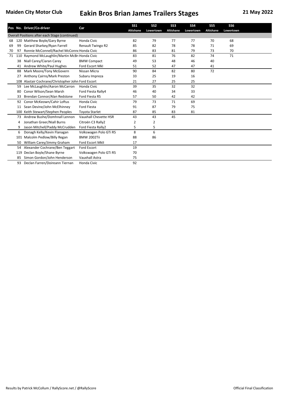|    |     | Pos No. Driver/Co-driver                           | Car                    | SS <sub>1</sub> | SS <sub>2</sub> | SS <sub>3</sub> | <b>SS4</b> | SS <sub>5</sub>  | SS <sub>6</sub> |  |
|----|-----|----------------------------------------------------|------------------------|-----------------|-----------------|-----------------|------------|------------------|-----------------|--|
|    |     |                                                    |                        | Altishane       | Lowertown       | Altishane       | Lowertown  | <b>Altishane</b> | Lowertown       |  |
|    |     | Overall Positions after each Stage (continued)     |                        |                 |                 |                 |            |                  |                 |  |
| 68 |     | 120 Matthew Boyle/Gary Byrne                       | Honda Civic            | 82              | 79              | 77              | 77         | 70               | 68              |  |
| 69 | 99  | Gerard Sharkey/Ryan Farrell                        | Renault Twingo R2      | 85              | 82              | 78              | 78         | 71               | 69              |  |
| 70 | 97  | Ronnie McConnell/Rachel McConne Honda Civic        |                        | 86              | 83              | 81              | 79         | 73               | 70              |  |
| 71 |     | 110 Raymond McLaughlin/Martin McBr Honda Civic     |                        | 83              | 81              | 76              | 82         | 74               | 71              |  |
|    | 38  | Niall Carey/Ciaran Carey                           | <b>BMW Compact</b>     | 49              | 53              | 48              | 46         | 40               |                 |  |
|    | 41  | Andrew White/Paul Hughes                           | Ford Escort MkI        | 51              | 52              | 47              | 47         | 41               |                 |  |
|    | 88  | Mark Moore/Tony McGovern                           | Nissan Micra           | 90              | 84              | 82              | 80         | 72               |                 |  |
|    | 27  | Anthony Cairns/Mark Preston                        | Subaru Impreza         | 33              | 25              | 19              | 16         |                  |                 |  |
|    |     | 108 Alastair Cochrane/Christopher John Ford Escort |                        | 21              | 27              | 25              | 25         |                  |                 |  |
|    | 59  | Lee McLaughlin/Aaron McCarron                      | Honda Civic            | 39              | 35              | 32              | 32         |                  |                 |  |
|    | 80  | Conor Wilson/Sean Marsh                            | Ford Fiesta Rally4     | 46              | 40              | 34              | 33         |                  |                 |  |
|    | 33  | Brendan Connor/Alan Redstone                       | Ford Fiesta R5         | 57              | 50              | 42              | 42         |                  |                 |  |
|    | 92  | Conor McKeown/Cahir Loftus                         | Honda Civic            | 79              | 73              | 71              | 69         |                  |                 |  |
|    | 11  | Sean Devine/John McElhinney                        | <b>Ford Fiesta</b>     | 91              | 87              | 79              | 75         |                  |                 |  |
|    | 100 | Keith Stewart/Stephen Peoples                      | <b>Toyota Starlet</b>  | 87              | 85              | 83              | 81         |                  |                 |  |
|    | 73  | Andrew Bushe/Domhnall Lennon                       | Vauxhall Chevette HSR  | 43              | 43              | 45              |            |                  |                 |  |
|    | 4   | Jonathan Greer/Niall Burns                         | Citroën C3 Rally2      | $\overline{2}$  | $\overline{2}$  |                 |            |                  |                 |  |
|    | 9   | Jason Mitchell/Paddy McCrudden                     | Ford Fiesta Rally2     | 5               | 5               |                 |            |                  |                 |  |
|    | 6   | Donagh Kelly/Kevin Flanagan                        | Volkswagen Polo GTi R5 | 8               | 6               |                 |            |                  |                 |  |
|    | 101 | Malcolm Pedlow/Billy Regan                         | <b>BMW 2002Tii</b>     | 88              | 86              |                 |            |                  |                 |  |
|    | 50  | William Carey/Jimmy Graham                         | Ford Escort MkII       | 17              |                 |                 |            |                  |                 |  |
|    | 54  | Alexander Cochrane/Ben Teggart                     | Ford Escort            | 19              |                 |                 |            |                  |                 |  |
|    | 119 | Declan Boyle/Shane Byrne                           | Volkswagen Polo GTi R5 | 70              |                 |                 |            |                  |                 |  |
|    | 85  | Simon Gordon/John Henderson                        | Vauxhall Astra         | 75              |                 |                 |            |                  |                 |  |
|    | 93  | Declan Farren/Doireann Tiernan                     | Honda Civic            | 92              |                 |                 |            |                  |                 |  |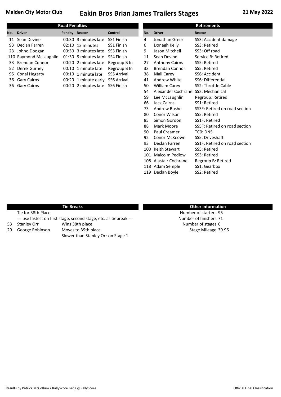|     |                        | <b>Road Penalties</b> |                      |                    |     | <b>Retirements</b>    |                      |
|-----|------------------------|-----------------------|----------------------|--------------------|-----|-----------------------|----------------------|
| No. | <b>Driver</b>          | Penalty Reason        |                      | Control            | No. | <b>Driver</b>         | Reason               |
|     | 11 Sean Devine         |                       | 00:30 3 minutes late | SS1 Finish         | 4   | Jonathan Greer        | SS3: Accident damage |
|     | 93 Declan Farren       |                       | $02:10$ 13 minutes   | SS1 Finish         | 6   | Donagh Kelly          | SS3: Retired         |
|     | 23 Johno Doogan        |                       | 00:30 3 minutes late | SS3 Finish         | 9   | Jason Mitchell        | SS3: Off road        |
|     | 110 Raymond McLaughlin |                       | 01:30 9 minutes late | SS4 Finish         | 11  | Sean Devine           | Service B: Retired   |
|     | 33 Brendan Connor      |                       | 00:20 2 minutes late | Regroup B In       | 27  | <b>Anthony Cairns</b> | SS5: Retired         |
|     | 52 Derek Gurney        |                       | 00:10 1 minute late  | Regroup B In       | 33  | <b>Brendan Connor</b> | SS5: Retired         |
|     | 95 Conal Hegarty       |                       | 00:10 1 minute late  | <b>SS5 Arrival</b> | 38  | Niall Carey           | SS6: Accident        |
|     | 36 Gary Cairns         |                       | 00:20 1 minute early | SS6 Arrival        | 41  | Andrew White          | SS6: Differential    |
|     | 36 Gary Cairns         |                       | 00:20 2 minutes late | SS6 Finish         | 50  | <b>William Carey</b>  | SS2: Throttle Cable  |
|     |                        |                       |                      |                    |     |                       |                      |

|     |                                    | <b>Retirements</b>            |
|-----|------------------------------------|-------------------------------|
| No. | <b>Driver</b>                      | Reason                        |
| 4   | Jonathan Greer                     | SS3: Accident damage          |
| 6   | Donagh Kelly                       | SS3: Retired                  |
| 9   | Jason Mitchell                     | SS3: Off road                 |
| 11  | Sean Devine                        | Service B: Retired            |
| 27  | <b>Anthony Cairns</b>              | SS5: Retired                  |
| 33  | Brendan Connor                     | SS5: Retired                  |
| 38  | <b>Niall Carey</b>                 | SS6: Accident                 |
|     | 41 Andrew White                    | SS6: Differential             |
|     | 50 William Carey                   | SS2: Throttle Cable           |
| 54  | Alexander Cochrane SS2: Mechanical |                               |
| 59  | Lee McLaughlin                     | Regroup: Retired              |
| 66  | Jack Cairns                        | SS1: Retired                  |
|     | 73 Andrew Bushe                    | SS3F: Retired on road section |
|     | 80 Conor Wilson                    | SS5: Retired                  |
| 85  | Simon Gordon                       | SS1F: Retired                 |
|     | 88 Mark Moore                      | SS5F: Retired on road section |
|     | 90 Paul Creamer                    | TCO: DNS                      |
| 92  | Conor McKeown                      | SS5: Driveshaft               |
|     | 93 Declan Farren                   | SS1F: Retired on road section |
|     | 100 Keith Stewart                  | SS5: Retired                  |
|     | 101 Malcolm Pedlow                 | SS3: Retired                  |
|     | 108 Alastair Cochrane              | Regroup B: Retired            |
|     | 118 Adam Semple                    | SS1: Gearbox                  |
|     | 119 Declan Boyle                   | SS2: Retired                  |
|     |                                    |                               |

#### **Tie Breaks Other information**

--- use fastest on first stage, second stage, etc. as tiebreak --- Number of finishers 71

- 
- 
- 29 George Robinson Moves to 39th place Stage Mileage 39.96 Slower than Stanley Orr on Stage 1

Tie for 38th Place Number of starters 95 53 Stanley Orr Wins 38th place Number of stages 6